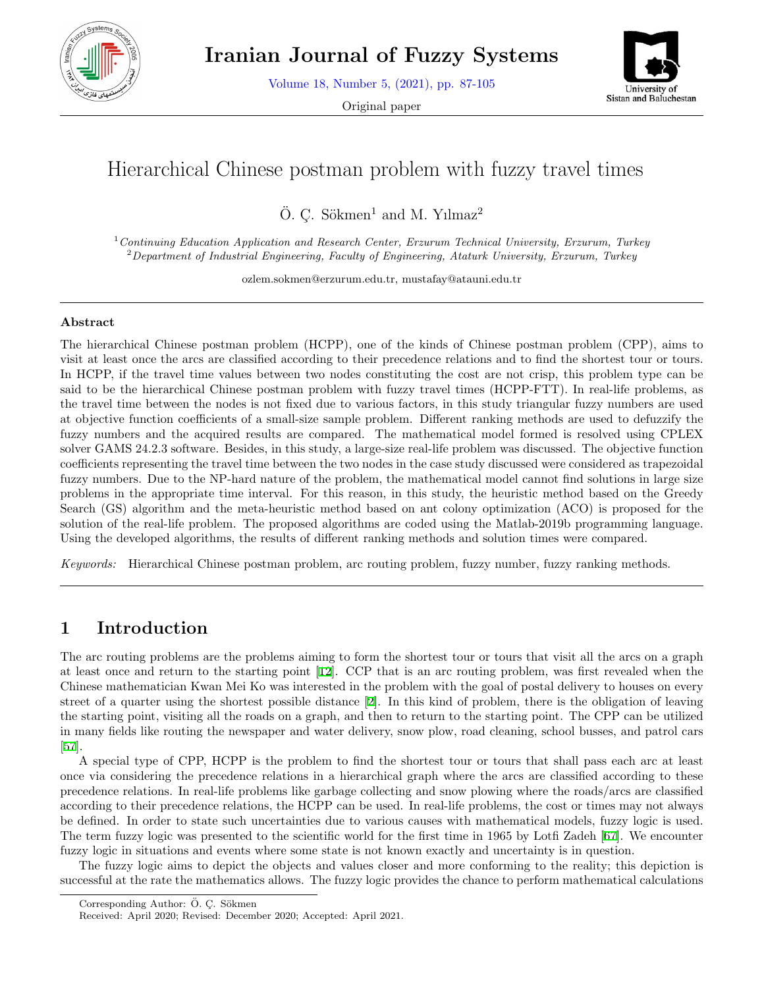

**Iranian Journal of Fuzzy Systems**

Volume 18, Number 5, (2021), pp. 87-105

Original paper



# Hierarchical Chinese postman problem with fuzzy travel times

 $\ddot{O}$ . C. Sökmen<sup>1</sup> and M. Yılmaz<sup>2</sup>

<sup>1</sup>*Continuing Education Application and Research Center, Erzurum Technical University, Erzurum, Turkey* <sup>2</sup>*Department of Industrial Engineering, Faculty of Engineering, Ataturk University, Erzurum, Turkey*

ozlem.sokmen@erzurum.edu.tr, mustafay@atauni.edu.tr

#### **Abstract**

The hierarchical Chinese postman problem (HCPP), one of the kinds of Chinese postman problem (CPP), aims to visit at least once the arcs are classified according to their precedence relations and to find the shortest tour or tours. In HCPP, if the travel time values between two nodes constituting the cost are not crisp, this problem type can be said to be the hierarchical Chinese postman problem with fuzzy travel times (HCPP-FTT). In real-life problems, as the travel time between the nodes is not fixed due to various factors, in this study triangular fuzzy numbers are used at objective function coefficients of a small-size sample problem. Different ranking methods are used to defuzzify the fuzzy numbers and the acquired results are compared. The mathematical model formed is resolved using CPLEX solver GAMS 24.2.3 software. Besides, in this study, a large-size real-life problem was discussed. The objective function coefficients representing the travel time between the two nodes in the case study discussed were considered as trapezoidal fuzzy numbers. Due to the NP-hard nature of the problem, the mathematical model cannot find solutions in large size problems in the appropriate time interval. For this reason, in this study, the heuristic method based on the Greedy Search (GS) algorithm and the meta-heuristic method based on ant colony optimization (ACO) is proposed for the solution of the real-life problem. The proposed algorithms are coded using the Matlab-2019b programming language. Using the developed algorithms, the results of different ranking methods and solution times were compared.

*Keywords:* Hierarchical Chinese postman problem, arc routing problem, fuzzy number, fuzzy ranking methods.

# **1 Introduction**

The arc routing problems are the problems aiming to form the shortest tour or tours that visit all the arcs on a graph at least once and return to the starting point [[12\]](#page-15-0). CCP that is an arc routing problem, was first revealed when the Chinese mathematician Kwan Mei Ko was interested in the problem with the goal of postal delivery to houses on every street of a quarter using the shortest possible distance [[2\]](#page-14-0). In this kind of problem, there is the obligation of leaving the starting point, visiting all the roads on a graph, and then to return to the starting point. The CPP can be utilized in many fields like routing the newspaper and water delivery, snow plow, road cleaning, school busses, and patrol cars [[57\]](#page-17-0).

A special type of CPP, HCPP is the problem to find the shortest tour or tours that shall pass each arc at least once via considering the precedence relations in a hierarchical graph where the arcs are classified according to these precedence relations. In real-life problems like garbage collecting and snow plowing where the roads/arcs are classified according to their precedence relations, the HCPP can be used. In real-life problems, the cost or times may not always be defined. In order to state such uncertainties due to various causes with mathematical models, fuzzy logic is used. The term fuzzy logic was presented to the scientific world for the first time in 1965 by Lotfi Zadeh [[67](#page-17-1)]. We encounter fuzzy logic in situations and events where some state is not known exactly and uncertainty is in question.

The fuzzy logic aims to depict the objects and values closer and more conforming to the reality; this depiction is successful at the rate the mathematics allows. The fuzzy logic provides the chance to perform mathematical calculations

Corresponding Author: Ö. Ç. Sökmen

Received: April 2020; Revised: December 2020; Accepted: April 2021.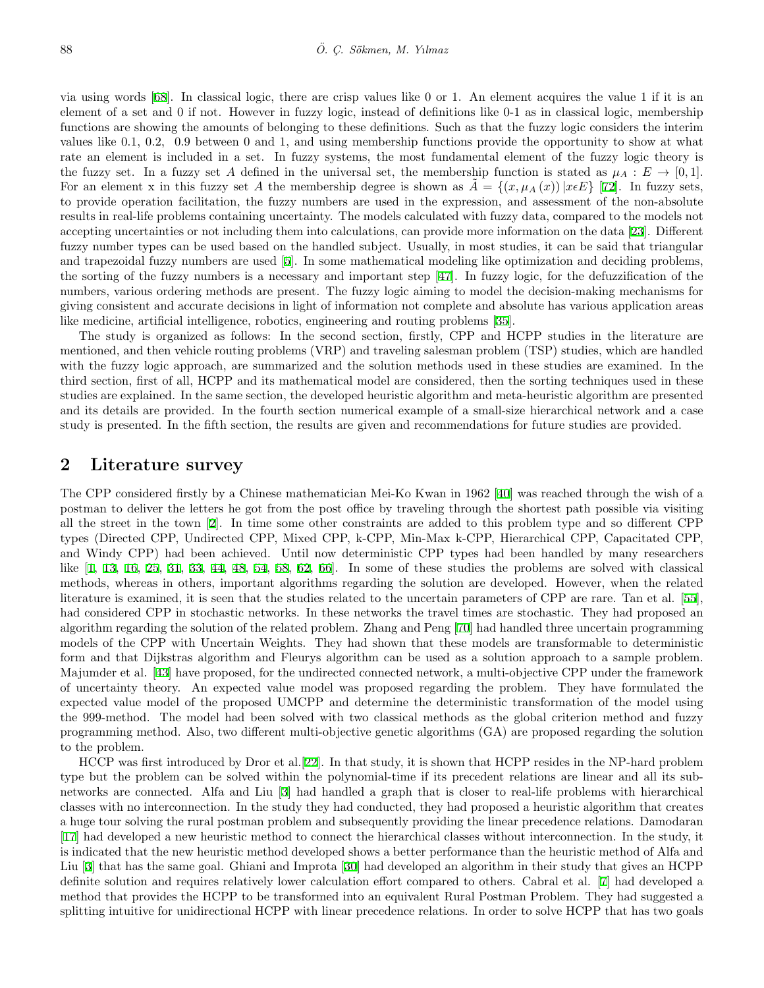via using words [[68\]](#page-17-2). In classical logic, there are crisp values like 0 or 1. An element acquires the value 1 if it is an element of a set and 0 if not. However in fuzzy logic, instead of definitions like 0-1 as in classical logic, membership functions are showing the amounts of belonging to these definitions. Such as that the fuzzy logic considers the interim values like 0.1, 0.2, 0.9 between 0 and 1, and using membership functions provide the opportunity to show at what rate an element is included in a set. In fuzzy systems, the most fundamental element of the fuzzy logic theory is the fuzzy set. In a fuzzy set A defined in the universal set, the membership function is stated as  $\mu_A : E \to [0,1].$ For an element x in this fuzzy set *A* the membership degree is shown as  $A = \{(x, \mu_A(x)) | x \in E\}$  [\[72](#page-18-0)]. In fuzzy sets, to provide operation facilitation, the fuzzy numbers are used in the expression, and assessment of the non-absolute results in real-life problems containing uncertainty. The models calculated with fuzzy data, compared to the models not accepting uncertainties or not including them into calculations, can provide more information on the data [[23](#page-15-1)]. Different fuzzy number types can be used based on the handled subject. Usually, in most studies, it can be said that triangular and trapezoidal fuzzy numbers are used [[5](#page-14-1)]. In some mathematical modeling like optimization and deciding problems, the sorting of the fuzzy numbers is a necessary and important step [[47\]](#page-16-0). In fuzzy logic, for the defuzzification of the numbers, various ordering methods are present. The fuzzy logic aiming to model the decision-making mechanisms for giving consistent and accurate decisions in light of information not complete and absolute has various application areas like medicine, artificial intelligence, robotics, engineering and routing problems [[35\]](#page-16-1).

The study is organized as follows: In the second section, firstly, CPP and HCPP studies in the literature are mentioned, and then vehicle routing problems (VRP) and traveling salesman problem (TSP) studies, which are handled with the fuzzy logic approach, are summarized and the solution methods used in these studies are examined. In the third section, first of all, HCPP and its mathematical model are considered, then the sorting techniques used in these studies are explained. In the same section, the developed heuristic algorithm and meta-heuristic algorithm are presented and its details are provided. In the fourth section numerical example of a small-size hierarchical network and a case study is presented. In the fifth section, the results are given and recommendations for future studies are provided.

## **2 Literature survey**

The CPP considered firstly by a Chinese mathematician Mei-Ko Kwan in 1962 [[40\]](#page-16-2) was reached through the wish of a postman to deliver the letters he got from the post office by traveling through the shortest path possible via visiting all the street in the town [[2\]](#page-14-0). In time some other constraints are added to this problem type and so different CPP types (Directed CPP, Undirected CPP, Mixed CPP, k-CPP, Min-Max k-CPP, Hierarchical CPP, Capacitated CPP, and Windy CPP) had been achieved. Until now deterministic CPP types had been handled by many researchers like [\[1](#page-14-2), [13,](#page-15-2) [16](#page-15-3), [25](#page-15-4), [31,](#page-16-3) [33,](#page-16-4) [44](#page-16-5), [48,](#page-17-3) [54,](#page-17-4) [58](#page-17-5), [62,](#page-17-6) [66\]](#page-17-7). In some of these studies the problems are solved with classical methods, whereas in others, important algorithms regarding the solution are developed. However, when the related literature is examined, it is seen that the studies related to the uncertain parameters of CPP are rare. Tan et al. [[55](#page-17-8)], had considered CPP in stochastic networks. In these networks the travel times are stochastic. They had proposed an algorithm regarding the solution of the related problem. Zhang and Peng [[70\]](#page-18-1) had handled three uncertain programming models of the CPP with Uncertain Weights. They had shown that these models are transformable to deterministic form and that Dijkstras algorithm and Fleurys algorithm can be used as a solution approach to a sample problem. Majumder et al. [[43](#page-16-6)] have proposed, for the undirected connected network, a multi-objective CPP under the framework of uncertainty theory. An expected value model was proposed regarding the problem. They have formulated the expected value model of the proposed UMCPP and determine the deterministic transformation of the model using the 999-method. The model had been solved with two classical methods as the global criterion method and fuzzy programming method. Also, two different multi-objective genetic algorithms (GA) are proposed regarding the solution to the problem.

HCCP was first introduced by Dror et al.[\[22](#page-15-5)]. In that study, it is shown that HCPP resides in the NP-hard problem type but the problem can be solved within the polynomial-time if its precedent relations are linear and all its subnetworks are connected. Alfa and Liu [[3\]](#page-14-3) had handled a graph that is closer to real-life problems with hierarchical classes with no interconnection. In the study they had conducted, they had proposed a heuristic algorithm that creates a huge tour solving the rural postman problem and subsequently providing the linear precedence relations. Damodaran [[17\]](#page-15-6) had developed a new heuristic method to connect the hierarchical classes without interconnection. In the study, it is indicated that the new heuristic method developed shows a better performance than the heuristic method of Alfa and Liu [\[3](#page-14-3)] that has the same goal. Ghiani and Improta [[30](#page-16-7)] had developed an algorithm in their study that gives an HCPP definite solution and requires relatively lower calculation effort compared to others. Cabral et al. [[7\]](#page-15-7) had developed a method that provides the HCPP to be transformed into an equivalent Rural Postman Problem. They had suggested a splitting intuitive for unidirectional HCPP with linear precedence relations. In order to solve HCPP that has two goals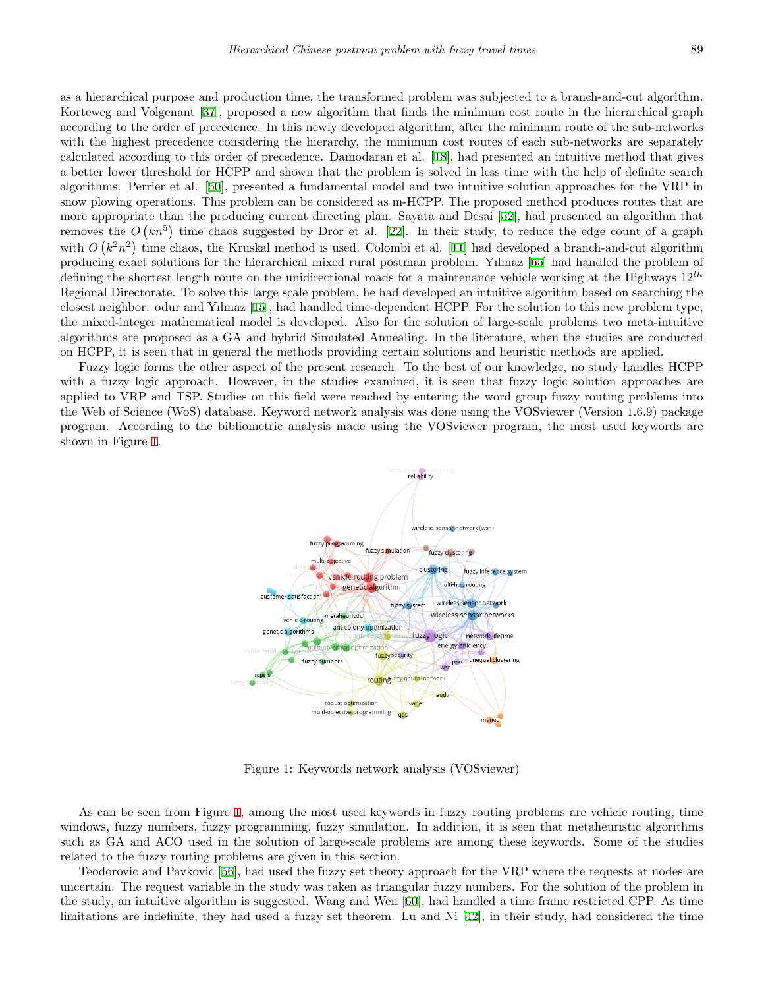as a hierarchical purpose and production time, the transformed problem was subjected to a branch-and-cut algorithm. Korteweg and Volgenant [[37\]](#page-16-8), proposed a new algorithm that finds the minimum cost route in the hierarchical graph according to the order of precedence. In this newly developed algorithm, after the minimum route of the sub-networks with the highest precedence considering the hierarchy, the minimum cost routes of each sub-networks are separately calculated according to this order of precedence. Damodaran et al. [[18](#page-15-8)], had presented an intuitive method that gives a better lower threshold for HCPP and shown that the problem is solved in less time with the help of definite search algorithms. Perrier et al. [\[50](#page-17-9)], presented a fundamental model and two intuitive solution approaches for the VRP in snow plowing operations. This problem can be considered as m-HCPP. The proposed method produces routes that are more appropriate than the producing current directing plan. Sayata and Desai [[52\]](#page-17-10), had presented an algorithm that removes the  $O(kn^5)$  time chaos suggested by Dror et al. [\[22](#page-15-5)]. In their study, to reduce the edge count of a graph with  $O(k^2n^2)$  time chaos, the Kruskal method is used. Colombi et al. [[11](#page-15-9)] had developed a branch-and-cut algorithm producing exact solutions for the hierarchical mixed rural postman problem. Yılmaz [[65\]](#page-17-11) had handled the problem of defining the shortest length route on the unidirectional roads for a maintenance vehicle working at the Highways 12*th* Regional Directorate. To solve this large scale problem, he had developed an intuitive algorithm based on searching the closest neighbor. odur and Yılmaz [[15\]](#page-15-10), had handled time-dependent HCPP. For the solution to this new problem type, the mixed-integer mathematical model is developed. Also for the solution of large-scale problems two meta-intuitive algorithms are proposed as a GA and hybrid Simulated Annealing. In the literature, when the studies are conducted on HCPP, it is seen that in general the methods providing certain solutions and heuristic methods are applied.

Fuzzy logic forms the other aspect of the present research. To the best of our knowledge, no study handles HCPP with a fuzzy logic approach. However, in the studies examined, it is seen that fuzzy logic solution approaches are applied to VRP and TSP. Studies on this field were reached by entering the word group fuzzy routing problems into the Web of Science (WoS) database. Keyword network analysis was done using the VOSviewer (Version 1.6.9) package program. According to the bibliometric analysis made using the VOSviewer program, the most used keywords are shown in Figure [1](#page-2-0).



<span id="page-2-0"></span>Figure 1: Keywords network analysis (VOSviewer)

As can be seen from Figure [1,](#page-2-0) among the most used keywords in fuzzy routing problems are vehicle routing, time windows, fuzzy numbers, fuzzy programming, fuzzy simulation. In addition, it is seen that metaheuristic algorithms such as GA and ACO used in the solution of large-scale problems are among these keywords. Some of the studies related to the fuzzy routing problems are given in this section.

Teodorovic and Pavkovic [[56\]](#page-17-12), had used the fuzzy set theory approach for the VRP where the requests at nodes are uncertain. The request variable in the study was taken as triangular fuzzy numbers. For the solution of the problem in the study, an intuitive algorithm is suggested. Wang and Wen [[60\]](#page-17-13), had handled a time frame restricted CPP. As time limitations are indefinite, they had used a fuzzy set theorem. Lu and Ni [\[42](#page-16-9)], in their study, had considered the time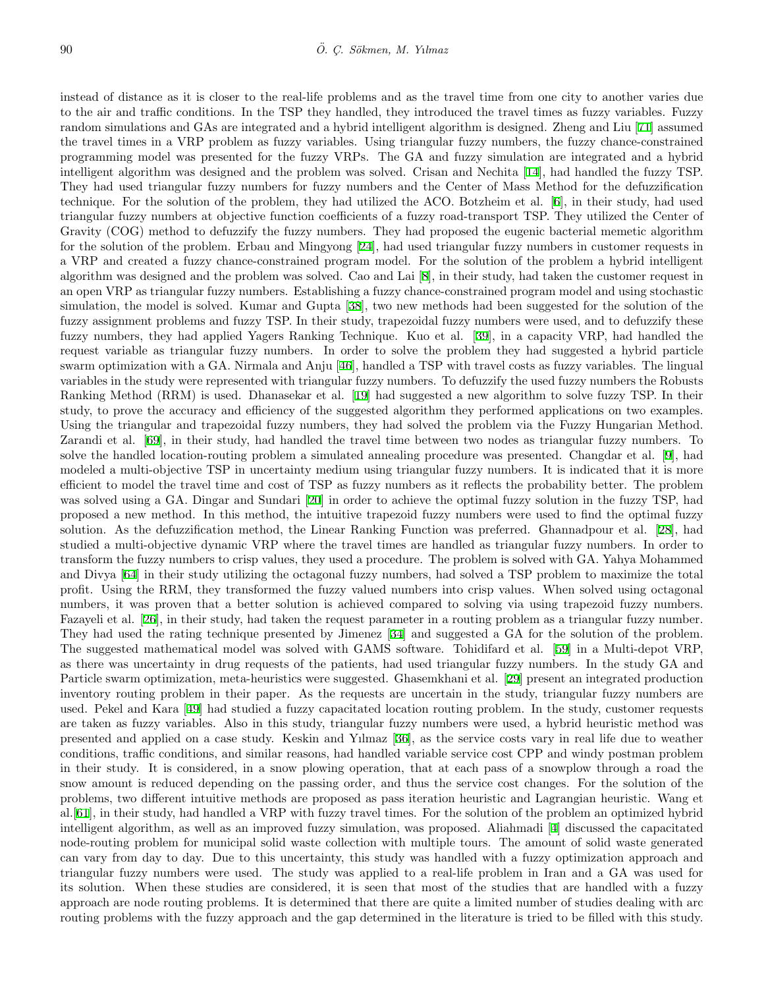instead of distance as it is closer to the real-life problems and as the travel time from one city to another varies due to the air and traffic conditions. In the TSP they handled, they introduced the travel times as fuzzy variables. Fuzzy random simulations and GAs are integrated and a hybrid intelligent algorithm is designed. Zheng and Liu [[71\]](#page-18-2) assumed the travel times in a VRP problem as fuzzy variables. Using triangular fuzzy numbers, the fuzzy chance-constrained programming model was presented for the fuzzy VRPs. The GA and fuzzy simulation are integrated and a hybrid intelligent algorithm was designed and the problem was solved. Crisan and Nechita [[14\]](#page-15-11), had handled the fuzzy TSP. They had used triangular fuzzy numbers for fuzzy numbers and the Center of Mass Method for the defuzzification technique. For the solution of the problem, they had utilized the ACO. Botzheim et al. [[6](#page-15-12)], in their study, had used triangular fuzzy numbers at objective function coefficients of a fuzzy road-transport TSP. They utilized the Center of Gravity (COG) method to defuzzify the fuzzy numbers. They had proposed the eugenic bacterial memetic algorithm for the solution of the problem. Erbau and Mingyong [\[24](#page-15-13)], had used triangular fuzzy numbers in customer requests in a VRP and created a fuzzy chance-constrained program model. For the solution of the problem a hybrid intelligent algorithm was designed and the problem was solved. Cao and Lai [\[8](#page-15-14)], in their study, had taken the customer request in an open VRP as triangular fuzzy numbers. Establishing a fuzzy chance-constrained program model and using stochastic simulation, the model is solved. Kumar and Gupta [[38\]](#page-16-10), two new methods had been suggested for the solution of the fuzzy assignment problems and fuzzy TSP. In their study, trapezoidal fuzzy numbers were used, and to defuzzify these fuzzy numbers, they had applied Yagers Ranking Technique. Kuo et al. [[39\]](#page-16-11), in a capacity VRP, had handled the request variable as triangular fuzzy numbers. In order to solve the problem they had suggested a hybrid particle swarm optimization with a GA. Nirmala and Anju [[46](#page-16-12)], handled a TSP with travel costs as fuzzy variables. The lingual variables in the study were represented with triangular fuzzy numbers. To defuzzify the used fuzzy numbers the Robusts Ranking Method (RRM) is used. Dhanasekar et al. [[19](#page-15-15)] had suggested a new algorithm to solve fuzzy TSP. In their study, to prove the accuracy and efficiency of the suggested algorithm they performed applications on two examples. Using the triangular and trapezoidal fuzzy numbers, they had solved the problem via the Fuzzy Hungarian Method. Zarandi et al. [[69\]](#page-18-3), in their study, had handled the travel time between two nodes as triangular fuzzy numbers. To solve the handled location-routing problem a simulated annealing procedure was presented. Changdar et al. [\[9](#page-15-16)], had modeled a multi-objective TSP in uncertainty medium using triangular fuzzy numbers. It is indicated that it is more efficient to model the travel time and cost of TSP as fuzzy numbers as it reflects the probability better. The problem was solved using a GA. Dingar and Sundari [\[20](#page-15-17)] in order to achieve the optimal fuzzy solution in the fuzzy TSP, had proposed a new method. In this method, the intuitive trapezoid fuzzy numbers were used to find the optimal fuzzy solution. As the defuzzification method, the Linear Ranking Function was preferred. Ghannadpour et al. [[28](#page-16-13)], had studied a multi-objective dynamic VRP where the travel times are handled as triangular fuzzy numbers. In order to transform the fuzzy numbers to crisp values, they used a procedure. The problem is solved with GA. Yahya Mohammed and Divya [\[64](#page-17-14)] in their study utilizing the octagonal fuzzy numbers, had solved a TSP problem to maximize the total profit. Using the RRM, they transformed the fuzzy valued numbers into crisp values. When solved using octagonal numbers, it was proven that a better solution is achieved compared to solving via using trapezoid fuzzy numbers. Fazayeli et al. [\[26](#page-15-18)], in their study, had taken the request parameter in a routing problem as a triangular fuzzy number. They had used the rating technique presented by Jimenez [[34\]](#page-16-14) and suggested a GA for the solution of the problem. The suggested mathematical model was solved with GAMS software. Tohidifard et al. [[59\]](#page-17-15) in a Multi-depot VRP, as there was uncertainty in drug requests of the patients, had used triangular fuzzy numbers. In the study GA and Particle swarm optimization, meta-heuristics were suggested. Ghasemkhani et al. [[29\]](#page-16-15) present an integrated production inventory routing problem in their paper. As the requests are uncertain in the study, triangular fuzzy numbers are used. Pekel and Kara [[49\]](#page-17-16) had studied a fuzzy capacitated location routing problem. In the study, customer requests are taken as fuzzy variables. Also in this study, triangular fuzzy numbers were used, a hybrid heuristic method was presented and applied on a case study. Keskin and Yılmaz [\[36](#page-16-16)], as the service costs vary in real life due to weather conditions, traffic conditions, and similar reasons, had handled variable service cost CPP and windy postman problem in their study. It is considered, in a snow plowing operation, that at each pass of a snowplow through a road the snow amount is reduced depending on the passing order, and thus the service cost changes. For the solution of the problems, two different intuitive methods are proposed as pass iteration heuristic and Lagrangian heuristic. Wang et al.[\[61](#page-17-17)], in their study, had handled a VRP with fuzzy travel times. For the solution of the problem an optimized hybrid intelligent algorithm, as well as an improved fuzzy simulation, was proposed. Aliahmadi [[4\]](#page-14-4) discussed the capacitated node-routing problem for municipal solid waste collection with multiple tours. The amount of solid waste generated can vary from day to day. Due to this uncertainty, this study was handled with a fuzzy optimization approach and triangular fuzzy numbers were used. The study was applied to a real-life problem in Iran and a GA was used for its solution. When these studies are considered, it is seen that most of the studies that are handled with a fuzzy approach are node routing problems. It is determined that there are quite a limited number of studies dealing with arc routing problems with the fuzzy approach and the gap determined in the literature is tried to be filled with this study.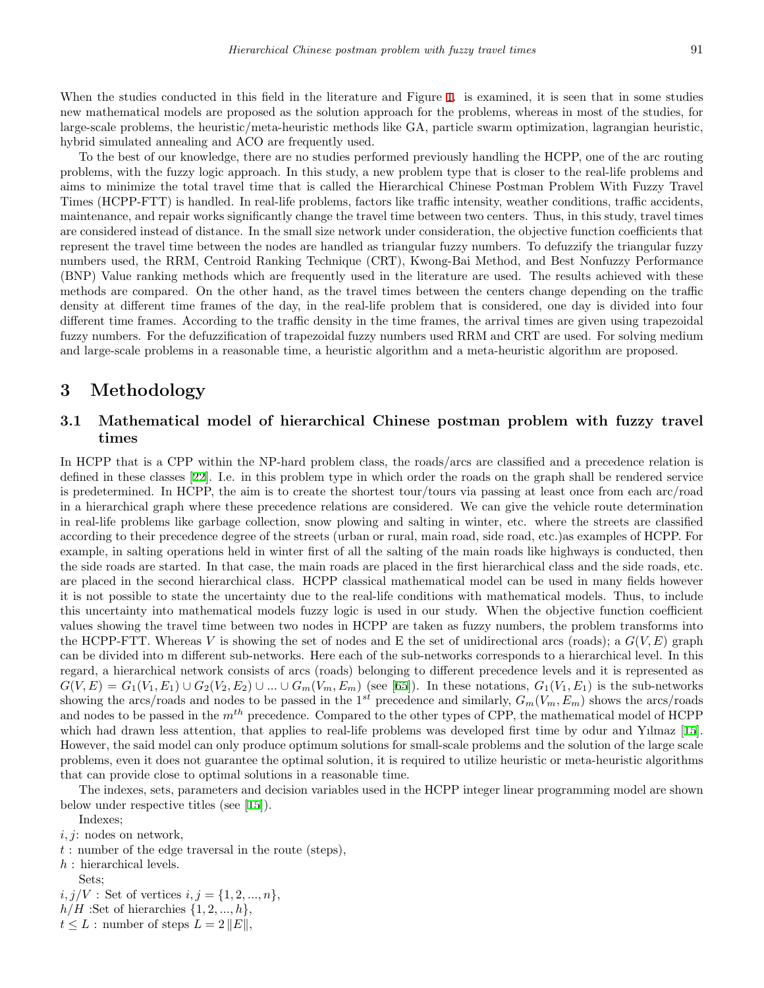When the studies conducted in this field in the literature and Figure [1](#page-2-0). is examined, it is seen that in some studies new mathematical models are proposed as the solution approach for the problems, whereas in most of the studies, for large-scale problems, the heuristic/meta-heuristic methods like GA, particle swarm optimization, lagrangian heuristic, hybrid simulated annealing and ACO are frequently used.

To the best of our knowledge, there are no studies performed previously handling the HCPP, one of the arc routing problems, with the fuzzy logic approach. In this study, a new problem type that is closer to the real-life problems and aims to minimize the total travel time that is called the Hierarchical Chinese Postman Problem With Fuzzy Travel Times (HCPP-FTT) is handled. In real-life problems, factors like traffic intensity, weather conditions, traffic accidents, maintenance, and repair works significantly change the travel time between two centers. Thus, in this study, travel times are considered instead of distance. In the small size network under consideration, the objective function coefficients that represent the travel time between the nodes are handled as triangular fuzzy numbers. To defuzzify the triangular fuzzy numbers used, the RRM, Centroid Ranking Technique (CRT), Kwong-Bai Method, and Best Nonfuzzy Performance (BNP) Value ranking methods which are frequently used in the literature are used. The results achieved with these methods are compared. On the other hand, as the travel times between the centers change depending on the traffic density at different time frames of the day, in the real-life problem that is considered, one day is divided into four different time frames. According to the traffic density in the time frames, the arrival times are given using trapezoidal fuzzy numbers. For the defuzzification of trapezoidal fuzzy numbers used RRM and CRT are used. For solving medium and large-scale problems in a reasonable time, a heuristic algorithm and a meta-heuristic algorithm are proposed.

# **3 Methodology**

### **3.1 Mathematical model of hierarchical Chinese postman problem with fuzzy travel times**

In HCPP that is a CPP within the NP-hard problem class, the roads/arcs are classified and a precedence relation is defined in these classes [[22\]](#page-15-5). I.e. in this problem type in which order the roads on the graph shall be rendered service is predetermined. In HCPP, the aim is to create the shortest tour/tours via passing at least once from each arc/road in a hierarchical graph where these precedence relations are considered. We can give the vehicle route determination in real-life problems like garbage collection, snow plowing and salting in winter, etc. where the streets are classified according to their precedence degree of the streets (urban or rural, main road, side road, etc.)as examples of HCPP. For example, in salting operations held in winter first of all the salting of the main roads like highways is conducted, then the side roads are started. In that case, the main roads are placed in the first hierarchical class and the side roads, etc. are placed in the second hierarchical class. HCPP classical mathematical model can be used in many fields however it is not possible to state the uncertainty due to the real-life conditions with mathematical models. Thus, to include this uncertainty into mathematical models fuzzy logic is used in our study. When the objective function coefficient values showing the travel time between two nodes in HCPP are taken as fuzzy numbers, the problem transforms into the HCPP-FTT. Whereas *V* is showing the set of nodes and E the set of unidirectional arcs (roads); a *G*(*V, E*) graph can be divided into m different sub-networks. Here each of the sub-networks corresponds to a hierarchical level. In this regard, a hierarchical network consists of arcs (roads) belonging to different precedence levels and it is represented as  $G(V, E) = G_1(V_1, E_1) \cup G_2(V_2, E_2) \cup ... \cup G_m(V_m, E_m)$  (see [[65\]](#page-17-11)). In these notations,  $G_1(V_1, E_1)$  is the sub-networks showing the arcs/roads and nodes to be passed in the 1<sup>st</sup> precedence and similarly,  $G_m(V_m, E_m)$  shows the arcs/roads and nodes to be passed in the *mth* precedence. Compared to the other types of CPP, the mathematical model of HCPP which had drawn less attention, that applies to real-life problems was developed first time by odur and Yılmaz [[15](#page-15-10)]. However, the said model can only produce optimum solutions for small-scale problems and the solution of the large scale problems, even it does not guarantee the optimal solution, it is required to utilize heuristic or meta-heuristic algorithms that can provide close to optimal solutions in a reasonable time.

The indexes, sets, parameters and decision variables used in the HCPP integer linear programming model are shown below under respective titles (see [[15\]](#page-15-10)).

Indexes;

- *t* : number of the edge traversal in the route (steps),
- *h* : hierarchical levels.
- Sets;

 $i, j/V$ : Set of vertices  $i, j = \{1, 2, ..., n\}$ ,

 $h/H$  :Set of hierarchies  $\{1, 2, ..., h\}$ ,

 $t \leq L$ : number of steps  $L = 2 ||E||$ ,

*i, j*: nodes on network,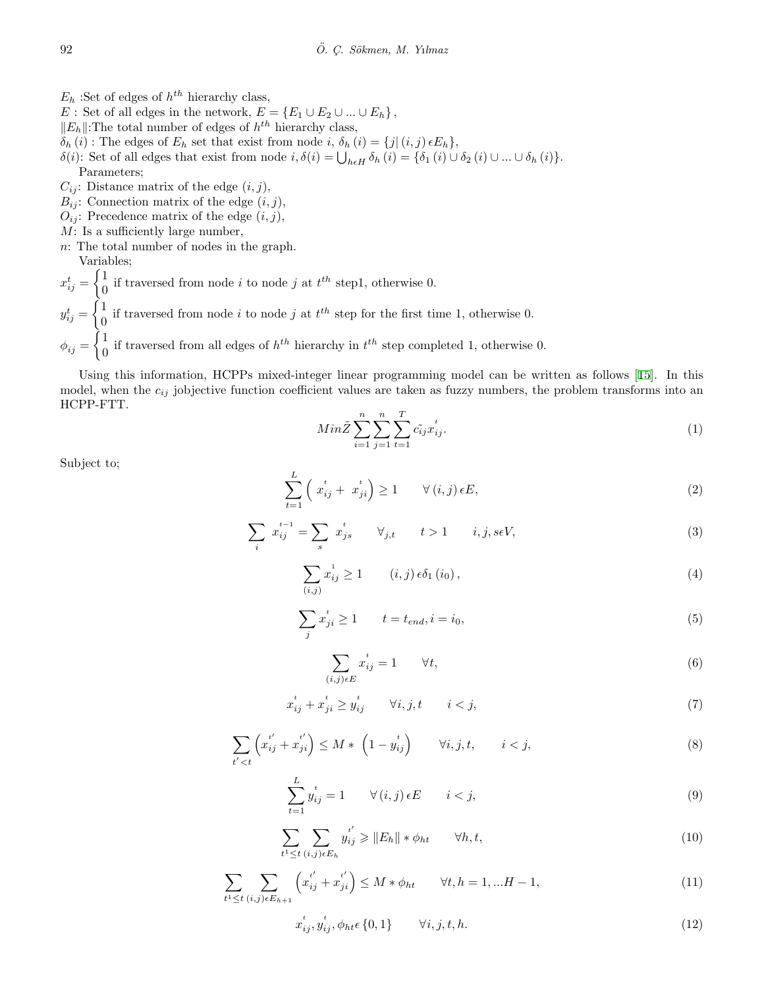- $E_h$ : Set of edges of  $h^{th}$  hierarchy class,
- *E* : Set of all edges in the network,  $E = \{E_1 \cup E_2 \cup ... \cup E_h\}$ ,
- *∥Eh∥*:The total number of edges of *h th* hierarchy class,
- $\delta_h(i)$ : The edges of  $E_h$  set that exist from node *i*,  $\delta_h(i) = \{j | (i, j) \in E_h\}$ ,
- $\delta(i)$ : Set of all edges that exist from node  $i, \delta(i) = \bigcup_{h \in H} \delta_h(i) = \{\delta_1(i) \cup \delta_2(i) \cup ... \cup \delta_h(i)\}.$ Parameters;
- $C_{ij}$ : Distance matrix of the edge  $(i, j)$ ,
- $B_{ij}$ : Connection matrix of the edge  $(i, j)$ ,
- $O_{ij}$ : Precedence matrix of the edge  $(i, j)$ ,
- *M*: Is a sufficiently large number,
- *n*: The total number of nodes in the graph.
- Variables;  $\int$  1

 $x_{ij}^t =$  $\frac{1}{0}$  if traversed from node *i* to node *j* at  $t^{th}$  step1, otherwise 0.  $y_{ij}^t =$  $\int$  1  $\frac{1}{0}$  if traversed from node *i* to node *j* at  $t^{th}$  step for the first time 1, otherwise 0.  $\phi_{ij} =$  $\bigcap_{i=1}^{\infty}$  $\frac{1}{0}$  if traversed from all edges of  $h^{th}$  hierarchy in  $t^{th}$  step completed 1, otherwise 0.

<span id="page-5-0"></span>Using this information, HCPPs mixed-integer linear programming model can be written as follows [\[15](#page-15-10)]. In this model, when the  $c_{ij}$  jobjective function coefficient values are taken as fuzzy numbers, the problem transforms into an HCPP-FTT.

$$
Min\tilde{Z} \sum_{i=1}^{n} \sum_{j=1}^{n} \sum_{t=1}^{T} c_{ij}^{*} x_{ij}^{t}.
$$
\n(1)

<span id="page-5-5"></span><span id="page-5-4"></span><span id="page-5-3"></span><span id="page-5-2"></span><span id="page-5-1"></span>Subject to;

$$
\sum_{t=1}^{L} \left( x_{ij}^{t} + x_{ji}^{t} \right) \ge 1 \qquad \forall (i, j) \in E,
$$
\n
$$
(2)
$$

$$
\sum_{i} x_{ij}^{t-1} = \sum_{s} x_{js}^{t} \qquad \forall j, t \qquad t > 1 \qquad i, j, s \in V,
$$
\n(3)

$$
\sum_{(i,j)} x_{ij}^1 \ge 1 \qquad (i,j) \epsilon \delta_1(i_0), \qquad (4)
$$

$$
\sum_{j} x_{ji}^{t} \ge 1 \qquad t = t_{end}, i = i_0,
$$
\n<sup>(5)</sup>

$$
\sum_{(i,j)\in E} x_{ij}^t = 1 \qquad \forall t,
$$
\n<sup>(6)</sup>

$$
x_{ij}^t + x_{ji}^t \ge y_{ij}^t \qquad \forall i, j, t \qquad i < j,
$$
\n
$$
(7)
$$

<span id="page-5-7"></span><span id="page-5-6"></span>
$$
\sum_{t' < t} \left( x_{ij}^{t'} + x_{ji}^{t'} \right) \le M \ast \left( 1 - y_{ij}^{t} \right) \qquad \forall i, j, t, \qquad i < j,\tag{8}
$$

$$
\sum_{t=1}^{L} y_{ij}^{t} = 1 \qquad \forall (i, j) \in E \qquad i < j,
$$
\n(9)

$$
\sum_{t^1 \le t} \sum_{(i,j)\in E_h} y_{ij}^{t'} \ge \|E_h\| * \phi_{ht} \qquad \forall h, t,
$$
\n
$$
(10)
$$

<span id="page-5-10"></span><span id="page-5-9"></span><span id="page-5-8"></span>
$$
\sum_{t^1 \le t} \sum_{(i,j)\in E_{h+1}} \left( x_{ij}^{t'} + x_{ji}^{t'} \right) \le M * \phi_{ht} \qquad \forall t, h = 1, ... H - 1,
$$
\n(11)

$$
x_{ij}^t, y_{ij}^t, \phi_{ht} \epsilon \{0, 1\} \qquad \forall i, j, t, h. \tag{12}
$$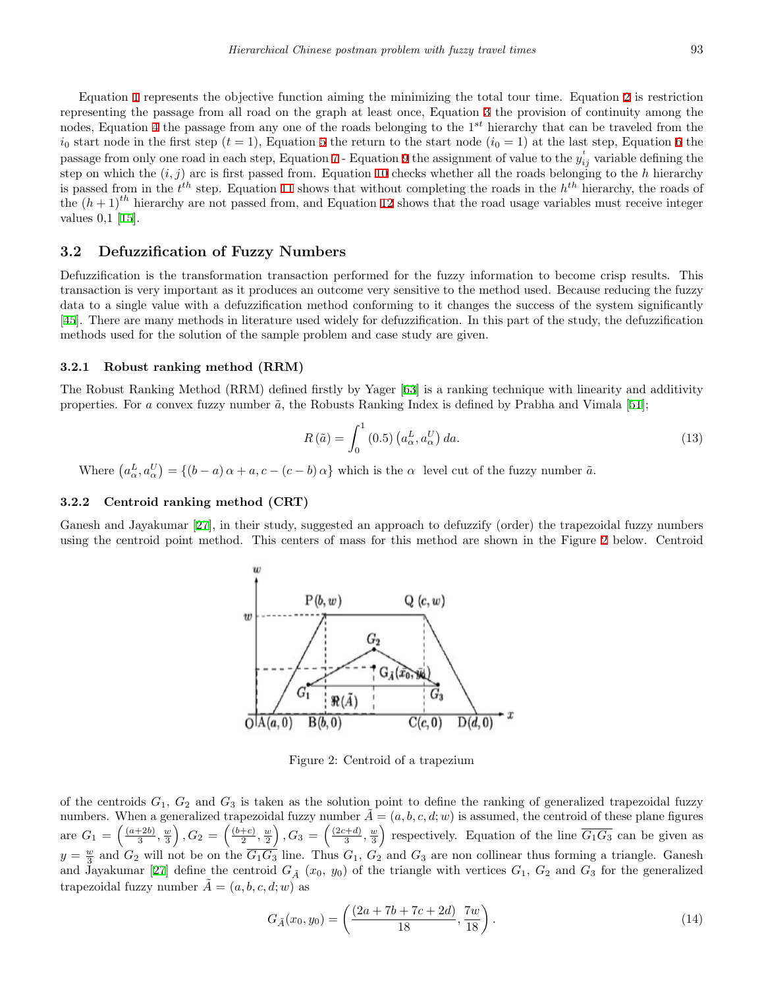Equation [1](#page-5-0) represents the objective function aiming the minimizing the total tour time. Equation [2](#page-5-1) is restriction representing the passage from all road on the graph at least once, Equation [3](#page-5-2) the provision of continuity among the nodes, Equation [4](#page-5-3) the passage from any one of the roads belonging to the 1*st* hierarchy that can be traveled from the  $i_0$  start node in the first step  $(t = 1)$ , Equation [5](#page-5-4) the return to the start node  $(i_0 = 1)$  at the last step, Equation [6](#page-5-5) the passage from only one road in each step, Equation [7](#page-5-6) - Equation [9](#page-5-7) the assignment of value to the  $y_{ij}^t$  variable defining the step on which the  $(i, j)$  arc is first passed from. Equation [10](#page-5-8) checks whether all the roads belonging to the *h* hierarchy is passed from in the *t th* step. Equation [11](#page-5-9) shows that without completing the roads in the *h th* hierarchy, the roads of the  $(h + 1)^{th}$  hierarchy are not passed from, and Equation [12](#page-5-10) shows that the road usage variables must receive integer values 0,1 [[15\]](#page-15-10).

### **3.2 Defuzzification of Fuzzy Numbers**

Defuzzification is the transformation transaction performed for the fuzzy information to become crisp results. This transaction is very important as it produces an outcome very sensitive to the method used. Because reducing the fuzzy data to a single value with a defuzzification method conforming to it changes the success of the system significantly [[45\]](#page-16-17). There are many methods in literature used widely for defuzzification. In this part of the study, the defuzzification methods used for the solution of the sample problem and case study are given.

#### **3.2.1 Robust ranking method (RRM)**

The Robust Ranking Method (RRM) defined firstly by Yager [[63\]](#page-17-18) is a ranking technique with linearity and additivity properties. For *a* convex fuzzy number  $\tilde{a}$ , the Robusts Ranking Index is defined by Prabha and Vimala [[51\]](#page-17-19);

$$
R\left(\tilde{a}\right) = \int_0^1 (0.5) \left(a_\alpha^L, a_\alpha^U\right) da. \tag{13}
$$

Where  $(a_{\alpha}^L, a_{\alpha}^U) = \{(b-a)\alpha + a, c-(c-b)\alpha\}$  which is the  $\alpha$  level cut of the fuzzy number  $\tilde{a}$ .

#### **3.2.2 Centroid ranking method (CRT)**

Ganesh and Jayakumar [\[27](#page-16-18)], in their study, suggested an approach to defuzzify (order) the trapezoidal fuzzy numbers using the centroid point method. This centers of mass for this method are shown in the Figure [2](#page-6-0) below. Centroid



<span id="page-6-0"></span>Figure 2: Centroid of a trapezium

of the centroids  $G_1, G_2$  and  $G_3$  is taken as the solution point to define the ranking of generalized trapezoidal fuzzy numbers. When a generalized trapezoidal fuzzy number  $\tilde{A} = (a, b, c, d; w)$  is assumed, the centroid of these plane figures are  $G_1 = \left(\frac{(a+2b)}{3}\right)$  $\frac{+2b)}{3}, \frac{w}{3}$  $\Big)$ ,  $G_2 = \Big(\frac{(b+c)}{2}\Big)$  $\frac{+c)}{2}$ ,  $\frac{w}{2}$  $\Big)$ ,  $G_3 = \left(\frac{(2c+d)}{3}\right)$  $\frac{a+b}{3},\frac{w}{3}$ ) respectively. Equation of the line  $\overline{G_1G_3}$  can be given as  $y = \frac{w}{3}$  and  $G_2$  will not be on the  $\overline{G_1G_3}$  line. Thus  $G_1$ ,  $G_2$  and  $G_3$  are non collinear thus forming a triangle. Ganesh and Jayakumar [[27\]](#page-16-18) define the centroid  $G_{\tilde{A}}(x_0, y_0)$  of the triangle with vertices  $G_1$ ,  $G_2$  and  $G_3$  for the generalized trapezoidal fuzzy number  $\tilde{A} = (a, b, c, d; w)$  as

$$
G_{\tilde{A}}(x_0, y_0) = \left(\frac{(2a + 7b + 7c + 2d)}{18}, \frac{7w}{18}\right).
$$
\n(14)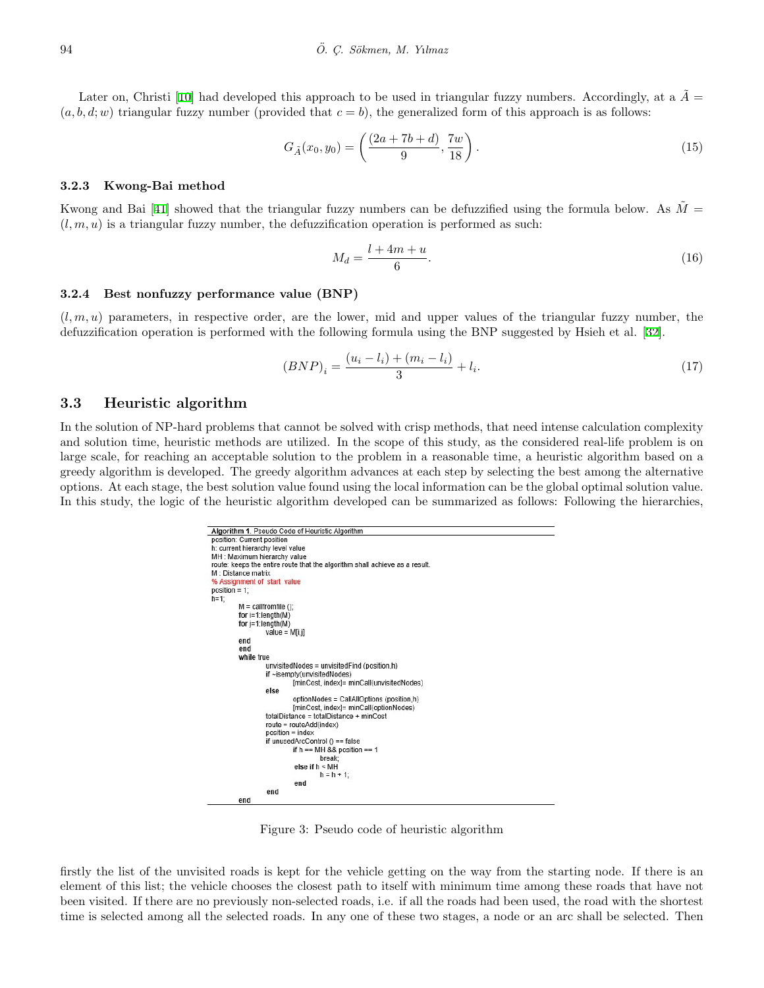Later on, Christi [\[10](#page-15-19)] had developed this approach to be used in triangular fuzzy numbers. Accordingly, at a  $\tilde{A}$  =  $(a, b, d, w)$  triangular fuzzy number (provided that  $c = b$ ), the generalized form of this approach is as follows:

$$
G_{\tilde{A}}(x_0, y_0) = \left(\frac{(2a + 7b + d)}{9}, \frac{7w}{18}\right).
$$
\n(15)

#### **3.2.3 Kwong-Bai method**

Kwong and Bai [\[41](#page-16-19)] showed that the triangular fuzzy numbers can be defuzzified using the formula below. As  $M =$  $(l, m, u)$  is a triangular fuzzy number, the defuzzification operation is performed as such:

$$
M_d = \frac{l + 4m + u}{6}.\tag{16}
$$

#### **3.2.4 Best nonfuzzy performance value (BNP)**

 $(l, m, u)$  parameters, in respective order, are the lower, mid and upper values of the triangular fuzzy number, the defuzzification operation is performed with the following formula using the BNP suggested by Hsieh et al. [[32\]](#page-16-20).

$$
(BNP)_i = \frac{(u_i - l_i) + (m_i - l_i)}{3} + l_i.
$$
\n(17)

#### **3.3 Heuristic algorithm**

In the solution of NP-hard problems that cannot be solved with crisp methods, that need intense calculation complexity and solution time, heuristic methods are utilized. In the scope of this study, as the considered real-life problem is on large scale, for reaching an acceptable solution to the problem in a reasonable time, a heuristic algorithm based on a greedy algorithm is developed. The greedy algorithm advances at each step by selecting the best among the alternative options. At each stage, the best solution value found using the local information can be the global optimal solution value. In this study, the logic of the heuristic algorithm developed can be summarized as follows: Following the hierarchies,



<span id="page-7-0"></span>Figure 3: Pseudo code of heuristic algorithm

firstly the list of the unvisited roads is kept for the vehicle getting on the way from the starting node. If there is an element of this list; the vehicle chooses the closest path to itself with minimum time among these roads that have not been visited. If there are no previously non-selected roads, i.e. if all the roads had been used, the road with the shortest time is selected among all the selected roads. In any one of these two stages, a node or an arc shall be selected. Then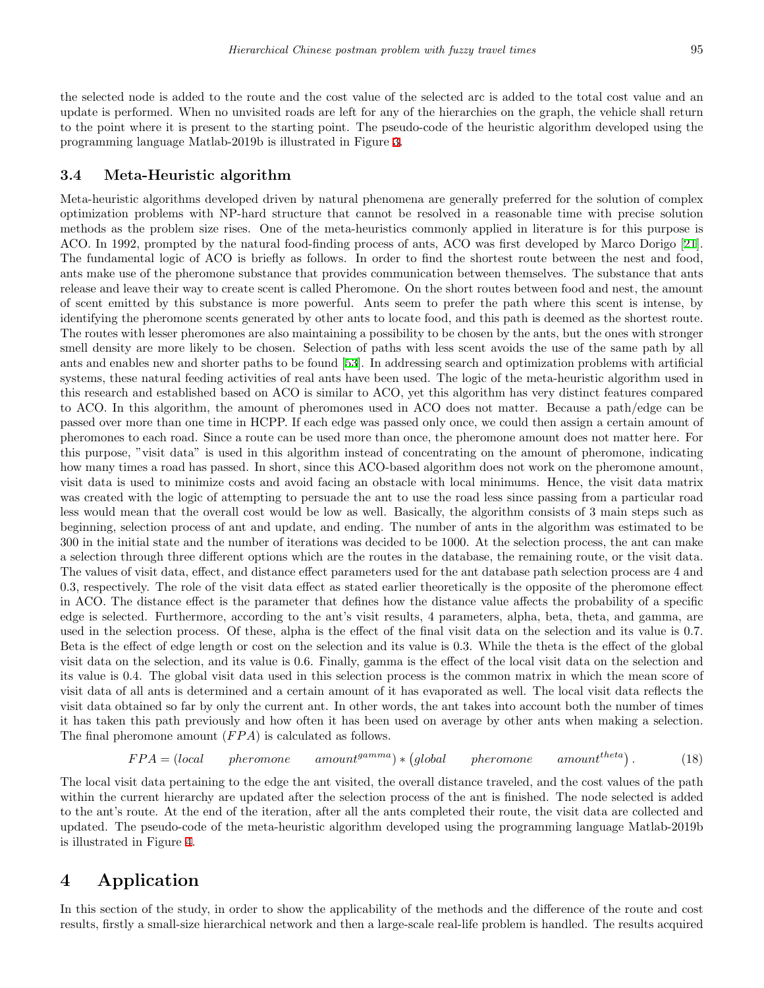the selected node is added to the route and the cost value of the selected arc is added to the total cost value and an update is performed. When no unvisited roads are left for any of the hierarchies on the graph, the vehicle shall return to the point where it is present to the starting point. The pseudo-code of the heuristic algorithm developed using the programming language Matlab-2019b is illustrated in Figure [3](#page-7-0).

#### **3.4 Meta-Heuristic algorithm**

Meta-heuristic algorithms developed driven by natural phenomena are generally preferred for the solution of complex optimization problems with NP-hard structure that cannot be resolved in a reasonable time with precise solution methods as the problem size rises. One of the meta-heuristics commonly applied in literature is for this purpose is ACO. In 1992, prompted by the natural food-finding process of ants, ACO was first developed by Marco Dorigo [[21](#page-15-20)]. The fundamental logic of ACO is briefly as follows. In order to find the shortest route between the nest and food, ants make use of the pheromone substance that provides communication between themselves. The substance that ants release and leave their way to create scent is called Pheromone. On the short routes between food and nest, the amount of scent emitted by this substance is more powerful. Ants seem to prefer the path where this scent is intense, by identifying the pheromone scents generated by other ants to locate food, and this path is deemed as the shortest route. The routes with lesser pheromones are also maintaining a possibility to be chosen by the ants, but the ones with stronger smell density are more likely to be chosen. Selection of paths with less scent avoids the use of the same path by all ants and enables new and shorter paths to be found [[53\]](#page-17-20). In addressing search and optimization problems with artificial systems, these natural feeding activities of real ants have been used. The logic of the meta-heuristic algorithm used in this research and established based on ACO is similar to ACO, yet this algorithm has very distinct features compared to ACO. In this algorithm, the amount of pheromones used in ACO does not matter. Because a path/edge can be passed over more than one time in HCPP. If each edge was passed only once, we could then assign a certain amount of pheromones to each road. Since a route can be used more than once, the pheromone amount does not matter here. For this purpose, "visit data" is used in this algorithm instead of concentrating on the amount of pheromone, indicating how many times a road has passed. In short, since this ACO-based algorithm does not work on the pheromone amount, visit data is used to minimize costs and avoid facing an obstacle with local minimums. Hence, the visit data matrix was created with the logic of attempting to persuade the ant to use the road less since passing from a particular road less would mean that the overall cost would be low as well. Basically, the algorithm consists of 3 main steps such as beginning, selection process of ant and update, and ending. The number of ants in the algorithm was estimated to be 300 in the initial state and the number of iterations was decided to be 1000. At the selection process, the ant can make a selection through three different options which are the routes in the database, the remaining route, or the visit data. The values of visit data, effect, and distance effect parameters used for the ant database path selection process are 4 and 0.3, respectively. The role of the visit data effect as stated earlier theoretically is the opposite of the pheromone effect in ACO. The distance effect is the parameter that defines how the distance value affects the probability of a specific edge is selected. Furthermore, according to the ant's visit results, 4 parameters, alpha, beta, theta, and gamma, are used in the selection process. Of these, alpha is the effect of the final visit data on the selection and its value is 0.7. Beta is the effect of edge length or cost on the selection and its value is 0.3. While the theta is the effect of the global visit data on the selection, and its value is 0.6. Finally, gamma is the effect of the local visit data on the selection and its value is 0.4. The global visit data used in this selection process is the common matrix in which the mean score of visit data of all ants is determined and a certain amount of it has evaporated as well. The local visit data reflects the visit data obtained so far by only the current ant. In other words, the ant takes into account both the number of times it has taken this path previously and how often it has been used on average by other ants when making a selection. The final pheromone amount (*F P A*) is calculated as follows.

$$
FPA = (local \quad pheromone \quad amount^{gamma}) * (global \quad pheromone \quad amount^{theta}). \tag{18}
$$

The local visit data pertaining to the edge the ant visited, the overall distance traveled, and the cost values of the path within the current hierarchy are updated after the selection process of the ant is finished. The node selected is added to the ant's route. At the end of the iteration, after all the ants completed their route, the visit data are collected and updated. The pseudo-code of the meta-heuristic algorithm developed using the programming language Matlab-2019b is illustrated in Figure [4.](#page-9-0)

# **4 Application**

In this section of the study, in order to show the applicability of the methods and the difference of the route and cost results, firstly a small-size hierarchical network and then a large-scale real-life problem is handled. The results acquired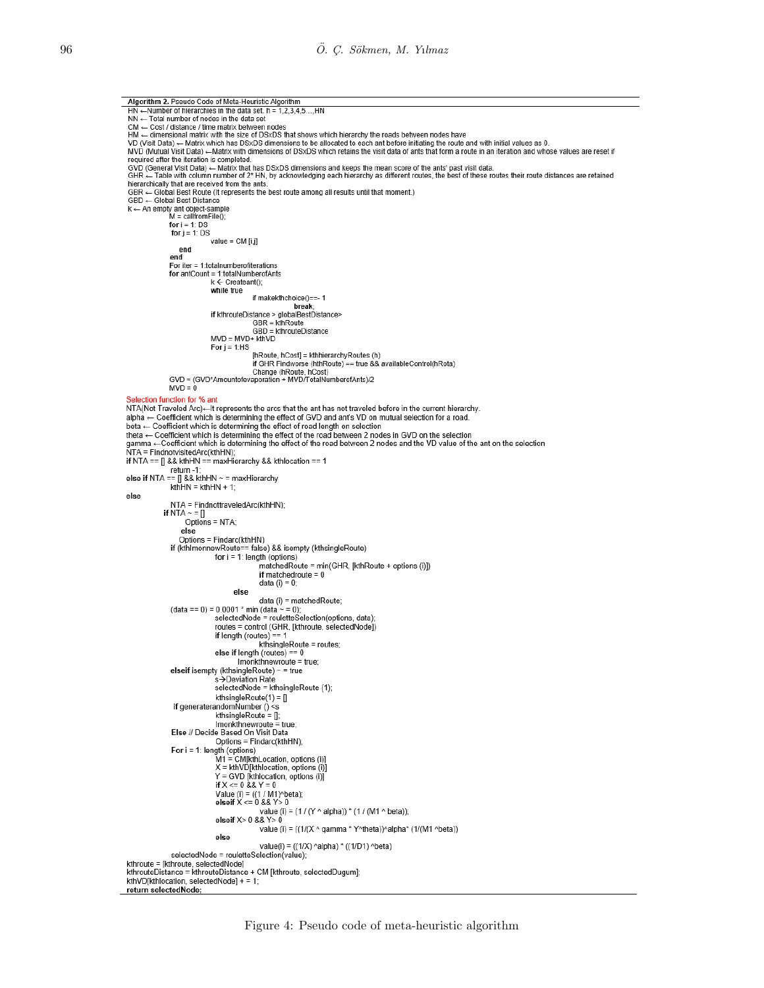```
Algorithm 2. Pseudo Code of Meta-Heuristic Algorithm
 HN —Number of hierarchies in the data set. h = 1,2,3,4,5...,HN
 NN - Total number of nodes in the data set
 CM ← Cost / distance / time matrix between nodes
HM — dimensional matrix with the size of DSxDS that shows which hierarchy the roads between nodes have<br>VD (Visit Data) — Matrix which has DSxDS dimensions to be allocated to each ant before initiating the route and with in
 MVD (Mutual Visit Data) - Matrix with dimensions of DSxDS which retains the visit data of ants that form a route in an iteration and whose values are reset if
 required after the iteration is completed.
 GVD (General Visit Data) — Matrix that has DSxDS dimensions and keeps the mean score of the ants' past visit data.<br>GVD (General Visit Data) — Matrix that has DSxDS dimensions and keeps the mean score of the ants' past visi
bierarchically that are received from the ants.<br>GBR ← Global Best Route (It represents the best route among all results until that moment.)
 GBD << Global Best Distance
k \leftarrow An empty ant object-sample<br>M = \text{callfromFile}();<br>for i = 1: DS
                 for j = 1: DS
                                  value = CM[i,j]end
                 end
                 For iter = 1:totalnumberofiterations
                 for antCount = 1:totalNumberofAnts
                                  k \leftarrow Createant():
                                  while true
                                                  if makekthchoice()==- 1
                                                                  break
                                 if kthrouteDistance > globalBestDistance>
                                                  GBR = kthRoute
                                                  GBD = kthrouteDistance
                                  MVD = MVD + kthVDFor i = 1:HS
                                                  [hRoute, hCost] = kthhierarchyRoutes (h)<br>if GHR Findworse (hthRoute) == true && availableControl(hRota)
                 Change (hRoute, hCost)<br>GVD = (GVD*Amountofevaporation + MVD/TotalNumberofAnts)/2
                 MVD = 0Selection function for % ant
NTA(Not Traveled Arc)—It represents the arcs that the ant has not traveled before in the current hierarchy.
alpha \leftarrow Coefficient which is determining the effect of GVD and ant's VD on mutual selection for a road.<br>beta \leftarrow Coefficient which is determining the effect of road length on selection
theta \leftarrow Coefficient which is determining the effect of the road between 2 nodes in GVD on the selection
gamma ←Coefficient which is determining the effect of the road between 2 nodes and the VD value of the ant on the selection<br>NTA = FindnotvisitedArc(kthHN);
if NTA == [] && kthHN == maxHierarchy && kthlocation == 1
return -1;<br>else if NTA == [] && kthHN ~ = maxHierarchy
                 kthHN = kthHN + 1else
                  NTA = FindnottraveledArc(kthHN);
              if NTA \sim E<br>Options = NTA;
                      else
                     Options = Findarc(kthHN)
                 if (kthlmonnewRoute== false) && isempty (kthsingleRoute)
                                   for i = 1: length (options)
                                                     matchedRoute = min(GHR, [kthRoute + options (i)])
                                                     if matchedroute = 0data (i) = 0;
                                           else
                                                    data (i) = matchedRoute;
                 (data == 0) = 0.0001 * min (data \sim = 0);
                                   selectedNode = rouletteSelection(options, data);
                                   routes = control (GHR, [kthroute, selectedNode])
                                   if length (routes) == 1
                                   kthsingleRoute = routes;<br>
else if length (routes) == 0
                                            Imonkthnewroute = true;
                 elseif isempty (kthsingleRoute) ~ = true<br>s→Deviation Rate
                                   selectedNode = kthsingleRoute (1);
                  selectedNode = kthsingle<br>
kthsingleRootte(1) = []<br>
if generaterandomNumber () <s<br>
kthsingleRootte = [];<br>
Imonkthnewroute = true;<br>
Flee // Decide Based On Visit Data;
                 Imonkthnewroute = tru<br>Else // Decide Based On Visit Data
                                   Options = Findarc(kthHN);
                 Options = Findarc(kthFIN);<br>
For i = 1: length (options)<br>
M1 = CM[kthLocation, options (i)]<br>
X = kthVD[kthlocation, options (i)]<br>
Y = GVD [kthlocation, options (i)]<br>
if X <= 0 && Y = 0<br>
Valua (i) = ((1 / M1Whata);
                                    Value (i) = ((1 / M1)^beta);
                                   elseif X \le 0 && Y > 0value (i) = (1 / (Y ^ alpha)) * (1 / (M1 ^ beta));
                                   elseif X> 0 && Y> 0
                                                     value (i) = ((1/(X ^ gamma * Y^theta))^alpha* (1/(M1 ^beta))
                                   else
                                                     value(i) = ((1/X) ^alpha) * ((1/D1) ^beta)
                  selectedNode = rouletteSelection(value);
 kthroute = [kthroute, selectedNode]
 kthrouteDistance = kthrouteDistance + CM [kthroute, selectedDugum]
kthVD[kthlocation, selectedNode] + = 1;
```

```
return selectedNode;
```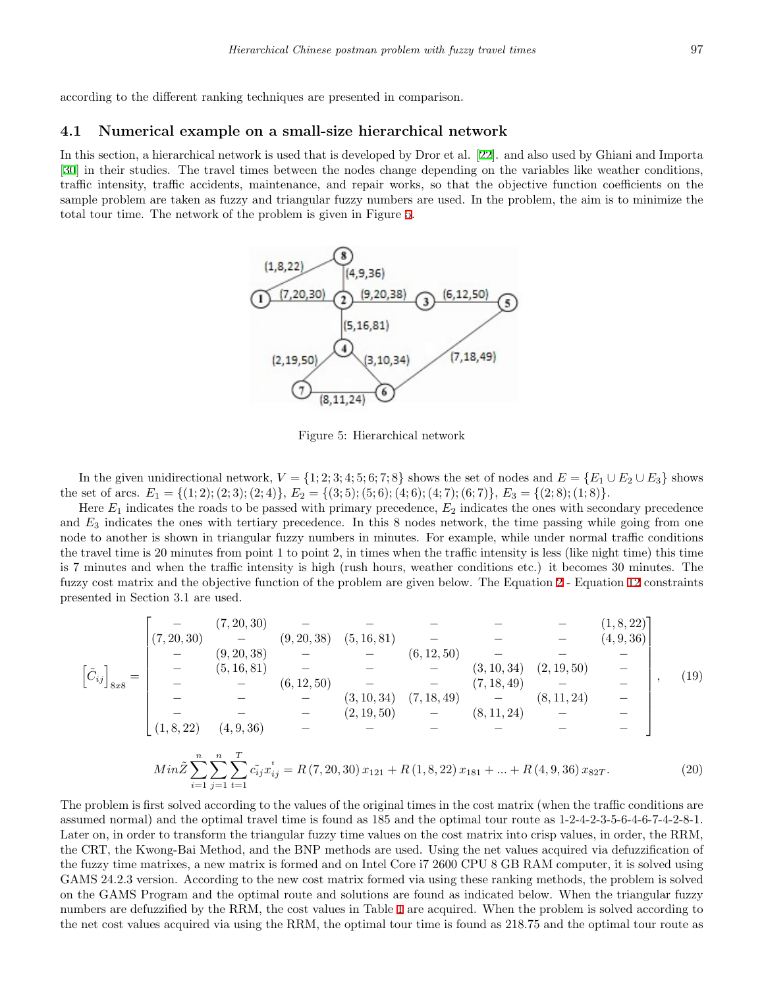according to the different ranking techniques are presented in comparison.

#### **4.1 Numerical example on a small-size hierarchical network**

In this section, a hierarchical network is used that is developed by Dror et al. [\[22](#page-15-5)]. and also used by Ghiani and Importa [[30\]](#page-16-7) in their studies. The travel times between the nodes change depending on the variables like weather conditions, traffic intensity, traffic accidents, maintenance, and repair works, so that the objective function coefficients on the sample problem are taken as fuzzy and triangular fuzzy numbers are used. In the problem, the aim is to minimize the total tour time. The network of the problem is given in Figure [5.](#page-10-0)



<span id="page-10-0"></span>Figure 5: Hierarchical network

In the given unidirectional network,  $V = \{1, 2, 3, 4, 5, 6, 7, 8\}$  shows the set of nodes and  $E = \{E_1 \cup E_2 \cup E_3\}$  shows the set of arcs.  $E_1 = \{(1, 2), (2, 3), (2, 4)\}, E_2 = \{(3, 5), (5, 6), (4, 6), (4, 7), (6, 7)\}, E_3 = \{(2, 8), (1, 8)\}.$ 

Here *E*<sup>1</sup> indicates the roads to be passed with primary precedence, *E*<sup>2</sup> indicates the ones with secondary precedence and  $E_3$  indicates the ones with tertiary precedence. In this 8 nodes network, the time passing while going from one node to another is shown in triangular fuzzy numbers in minutes. For example, while under normal traffic conditions the travel time is 20 minutes from point 1 to point 2, in times when the traffic intensity is less (like night time) this time is 7 minutes and when the traffic intensity is high (rush hours, weather conditions etc.) it becomes 30 minutes. The fuzzy cost matrix and the objective function of the problem are given below. The Equation [2](#page-5-1) - Equation [12](#page-5-10) constraints presented in Section 3.1 are used.

$$
\begin{bmatrix}\n\tilde{C}_{ij}\n\end{bmatrix}_{8x8} = \n\begin{bmatrix}\n-\frac{7}{20,30} & - & - & - & - & - & - & - & (1,8,22) \\
-\frac{7}{20,30} & - & \frac{7}{20,38} & - & - & (6,12,50) & - & - & - & (4,9,36) \\
-\frac{7}{20,30} & - & - & \frac{7}{20,38} & - & - & (6,12,50) & - & - & - & - \\
-\frac{7}{20,30} & - & - & - & \frac{7}{20,30} & - & - & (7,18,49) & - & - & - \\
-\frac{7}{20,30} & - & - & - & \frac{7}{20,30} & - & (7,18,49) & - & - & - \\
- & - & - & - & - & (2,19,50) & - & (8,11,24) & - & - \\
(1,8,22) & (4,9,36) & - & - & - & - & - & - & - & - \\
\end{bmatrix}, (19)
$$

$$
Min\tilde{Z} \sum_{i=1}^{n} \sum_{j=1}^{n} \sum_{t=1}^{T} c_{ij} x_{ij}^{t} = R(7, 20, 30) x_{121} + R(1, 8, 22) x_{181} + \dots + R(4, 9, 36) x_{82T}.
$$
\n(20)

The problem is first solved according to the values of the original times in the cost matrix (when the traffic conditions are assumed normal) and the optimal travel time is found as 185 and the optimal tour route as 1-2-4-2-3-5-6-4-6-7-4-2-8-1. Later on, in order to transform the triangular fuzzy time values on the cost matrix into crisp values, in order, the RRM, the CRT, the Kwong-Bai Method, and the BNP methods are used. Using the net values acquired via defuzzification of the fuzzy time matrixes, a new matrix is formed and on Intel Core i7 2600 CPU 8 GB RAM computer, it is solved using GAMS 24.2.3 version. According to the new cost matrix formed via using these ranking methods, the problem is solved on the GAMS Program and the optimal route and solutions are found as indicated below. When the triangular fuzzy numbers are defuzzified by the RRM, the cost values in Table [1](#page-11-0) are acquired. When the problem is solved according to the net cost values acquired via using the RRM, the optimal tour time is found as 218.75 and the optimal tour route as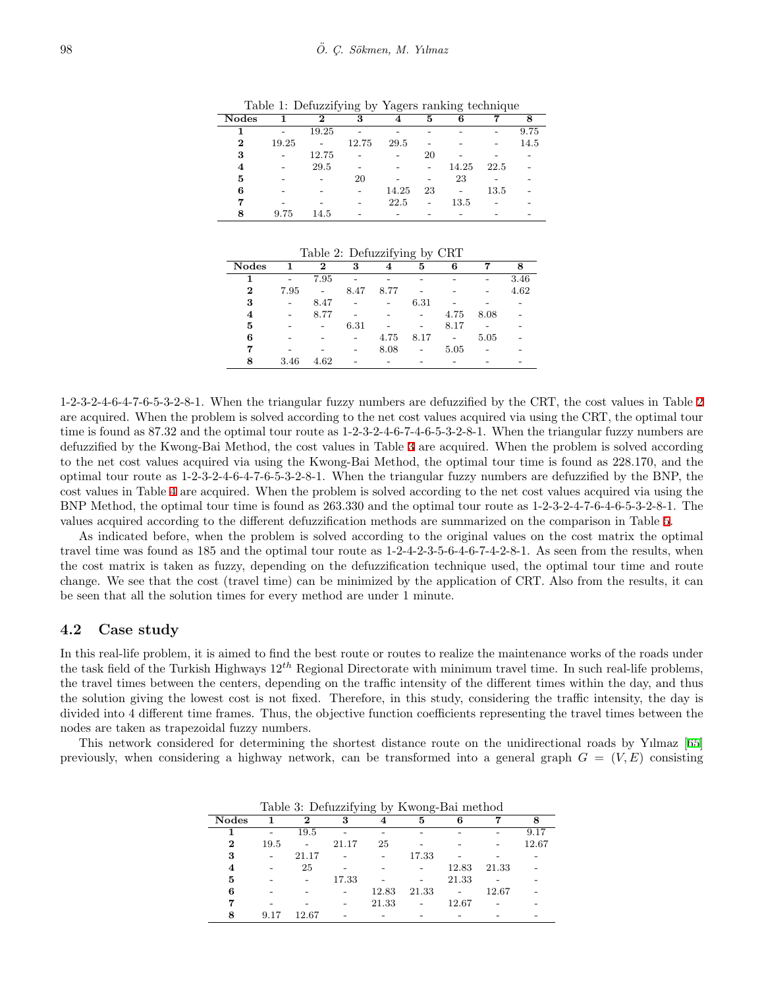|                |       |                | $\check{ }$<br>$\cdot$ | ິ     |    | ີ     |      |      |
|----------------|-------|----------------|------------------------|-------|----|-------|------|------|
| <b>Nodes</b>   |       | 2              | 3                      | 4     | 5  | 6     |      | 8    |
|                |       | 19.25          |                        |       |    |       |      | 9.75 |
| $\bf{2}$       | 19.25 | $\overline{a}$ | 12.75                  | 29.5  |    |       |      | 14.5 |
| 3              |       | 12.75          |                        |       | 20 |       |      |      |
| $\overline{4}$ |       | 29.5           |                        |       |    | 14.25 | 22.5 |      |
| 5              |       |                | 20                     |       |    | 23    |      |      |
| 6              |       |                |                        | 14.25 | 23 |       | 13.5 |      |
|                |       |                |                        | 22.5  |    | 13.5  |      |      |
| 8              | 9.75  | 14.5           |                        |       |    |       |      |      |

<span id="page-11-0"></span>Table 1: Defuzzifying by Yagers ranking technique

<span id="page-11-1"></span>Table 2: Defuzzifying by CRT

|              |      |                          |      | $\cdot$ | $\circ$<br>$\sim$ |                          |      |      |
|--------------|------|--------------------------|------|---------|-------------------|--------------------------|------|------|
| <b>Nodes</b> | 1    | 2                        | 3    | 4       | 5                 | 6                        |      | 8    |
| 1            |      | 7.95                     |      |         |                   |                          |      | 3.46 |
| $\bf{2}$     | 7.95 | $\overline{\phantom{a}}$ | 8.47 | 8.77    |                   |                          |      | 4.62 |
| 3            |      | 8.47                     |      |         | 6.31              |                          |      |      |
| 4            |      | 8.77                     |      |         |                   | 4.75                     | 8.08 |      |
| 5            |      |                          | 6.31 |         |                   | 8.17                     |      |      |
| 6            |      |                          |      | 4.75    | 8.17              | $\overline{\phantom{a}}$ | 5.05 |      |
| 7            |      |                          |      | 8.08    |                   | 5.05                     |      |      |
| 8            | 3.46 | 4.62                     |      |         |                   |                          |      |      |
|              |      |                          |      |         |                   |                          |      |      |

1-2-3-2-4-6-4-7-6-5-3-2-8-1. When the triangular fuzzy numbers are defuzzified by the CRT, the cost values in Table [2](#page-11-1) are acquired. When the problem is solved according to the net cost values acquired via using the CRT, the optimal tour time is found as 87.32 and the optimal tour route as 1-2-3-2-4-6-7-4-6-5-3-2-8-1. When the triangular fuzzy numbers are defuzzified by the Kwong-Bai Method, the cost values in Table [3](#page-11-2) are acquired. When the problem is solved according to the net cost values acquired via using the Kwong-Bai Method, the optimal tour time is found as 228.170, and the optimal tour route as 1-2-3-2-4-6-4-7-6-5-3-2-8-1. When the triangular fuzzy numbers are defuzzified by the BNP, the cost values in Table [4](#page-12-0) are acquired. When the problem is solved according to the net cost values acquired via using the BNP Method, the optimal tour time is found as 263.330 and the optimal tour route as 1-2-3-2-4-7-6-4-6-5-3-2-8-1. The values acquired according to the different defuzzification methods are summarized on the comparison in Table [5](#page-12-1).

As indicated before, when the problem is solved according to the original values on the cost matrix the optimal travel time was found as 185 and the optimal tour route as 1-2-4-2-3-5-6-4-6-7-4-2-8-1. As seen from the results, when the cost matrix is taken as fuzzy, depending on the defuzzification technique used, the optimal tour time and route change. We see that the cost (travel time) can be minimized by the application of CRT. Also from the results, it can be seen that all the solution times for every method are under 1 minute.

#### **4.2 Case study**

In this real-life problem, it is aimed to find the best route or routes to realize the maintenance works of the roads under the task field of the Turkish Highways 12*th* Regional Directorate with minimum travel time. In such real-life problems, the travel times between the centers, depending on the traffic intensity of the different times within the day, and thus the solution giving the lowest cost is not fixed. Therefore, in this study, considering the traffic intensity, the day is divided into 4 different time frames. Thus, the objective function coefficients representing the travel times between the nodes are taken as trapezoidal fuzzy numbers.

This network considered for determining the shortest distance route on the unidirectional roads by Yılmaz [[65](#page-17-11)] previously, when considering a highway network, can be transformed into a general graph  $G = (V, E)$  consisting

|              |      |       | Table 3: Defuzzifying by Kwong-Bal method |       |       |       |       |       |
|--------------|------|-------|-------------------------------------------|-------|-------|-------|-------|-------|
| <b>Nodes</b> |      | 2     | 3                                         |       | 5     |       |       | 8     |
|              |      | 19.5  |                                           |       |       |       |       | 9.17  |
| 2            | 19.5 |       | 21.17                                     | 25    |       |       |       | 12.67 |
| 3            |      | 21.17 |                                           |       | 17.33 |       |       |       |
| 4            |      | 25    |                                           |       |       | 12.83 | 21.33 |       |
| 5            |      |       | 17.33                                     |       |       | 21.33 |       |       |
| 6            |      |       |                                           | 12.83 | 21.33 |       | 12.67 |       |
|              |      |       |                                           | 21.33 |       | 12.67 |       |       |
| 8            | 9.17 | 12.67 |                                           |       |       |       |       |       |

<span id="page-11-2"></span>Table 3: Defuzzifying by Kwong-Bai method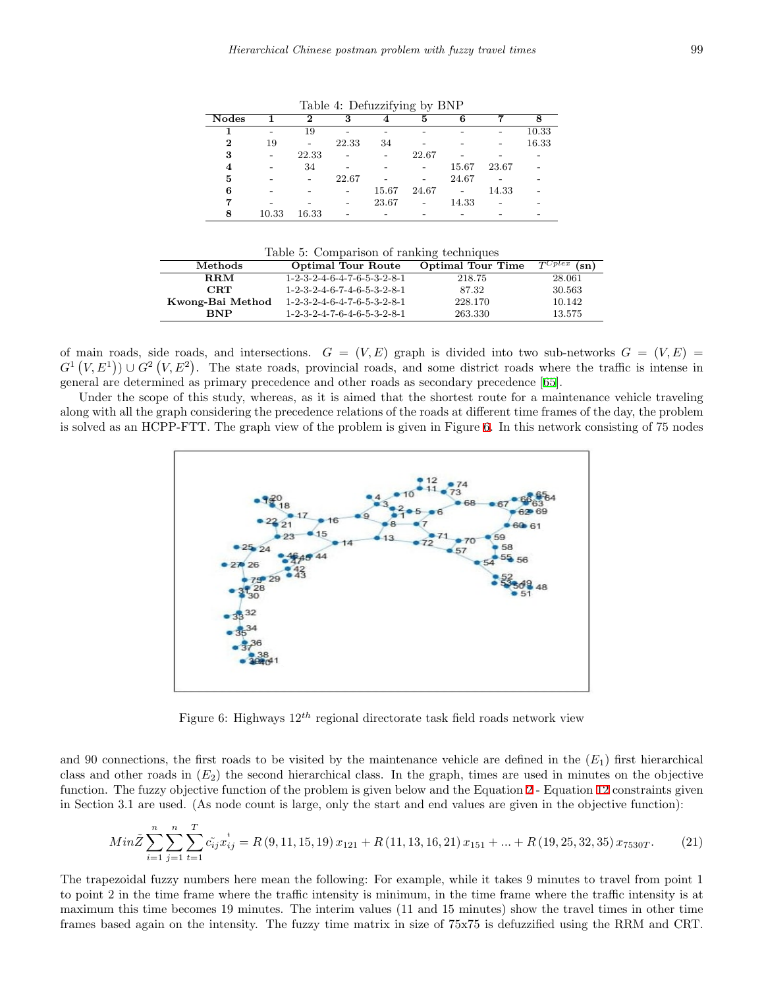| $\frac{1}{2}$<br>--- |                          |                          |                          |                          |                |                |       |       |
|----------------------|--------------------------|--------------------------|--------------------------|--------------------------|----------------|----------------|-------|-------|
| <b>Nodes</b>         |                          | 2                        | 3                        | 4                        | 5              | 6              |       | 8     |
|                      |                          | 19                       |                          |                          |                |                |       | 10.33 |
| $\bf{2}$             | 19                       | $\overline{\phantom{0}}$ | 22.33                    | 34                       |                |                |       | 16.33 |
| 3                    | $\overline{\phantom{0}}$ | 22.33                    | $\overline{a}$           | $\overline{\phantom{0}}$ | 22.67          |                |       |       |
| $\overline{\bf 4}$   |                          | 34                       |                          |                          |                | 15.67          | 23.67 |       |
| 5                    |                          | $\overline{\phantom{0}}$ | 22.67                    |                          |                | 24.67          |       |       |
| 6                    |                          |                          |                          | 15.67                    | 24.67          | $\blacksquare$ | 14.33 |       |
|                      |                          |                          | $\overline{\phantom{0}}$ | 23.67                    | $\blacksquare$ | 14.33          |       |       |
| 8                    | 10.33                    | 16.33                    |                          |                          |                |                |       |       |

<span id="page-12-0"></span>Table 4: Defuzzifying by BNP

<span id="page-12-1"></span>

|  |  | Table 5: Comparison of ranking techniques |
|--|--|-------------------------------------------|
|  |  |                                           |
|  |  |                                           |

| Methods          | <b>Optimal Tour Route</b>                               | <b>Optimal Tour Time</b> | $\tau$ Cplex<br>$(\mathrm{sn})$ |
|------------------|---------------------------------------------------------|--------------------------|---------------------------------|
| $R_{\rm RM}$     | $1-2-3-2-4-6-4-7-6-5-3-2-8-1$                           | 218.75                   | 28.061                          |
| CRT              | $1-2-3-2-4-6-7-4-6-5-3-2-8-1$                           | 87.32                    | 30.563                          |
| Kwong-Bai Method | $1-2-3-2-4-6-4-7-6-5-3-2-8-1$                           | 228.170                  | 10.142                          |
| <b>RNP</b>       | $1 - 2 - 3 - 2 - 4 - 7 - 6 - 4 - 6 - 5 - 3 - 2 - 8 - 1$ | 263.330                  | 13.575                          |

of main roads, side roads, and intersections.  $G = (V, E)$  graph is divided into two sub-networks  $G = (V, E)$  $G^1(V, E^1)$   $\cup G^2(V, E^2)$ . The state roads, provincial roads, and some district roads where the traffic is intense in general are determined as primary precedence and other roads as secondary precedence [[65\]](#page-17-11).

Under the scope of this study, whereas, as it is aimed that the shortest route for a maintenance vehicle traveling along with all the graph considering the precedence relations of the roads at different time frames of the day, the problem is solved as an HCPP-FTT. The graph view of the problem is given in Figure [6.](#page-12-2) In this network consisting of 75 nodes



<span id="page-12-2"></span>Figure 6: Highways 12*th* regional directorate task field roads network view

and 90 connections, the first roads to be visited by the maintenance vehicle are defined in the  $(E_1)$  first hierarchical class and other roads in  $(E_2)$  the second hierarchical class. In the graph, times are used in minutes on the objective function. The fuzzy objective function of the problem is given below and the Equation [2](#page-5-1) - Equation [12](#page-5-10) constraints given in Section 3.1 are used. (As node count is large, only the start and end values are given in the objective function):

$$
Min\tilde{Z} \sum_{i=1}^{n} \sum_{j=1}^{n} \sum_{t=1}^{T} c_{ij}^{*} x_{ij}^{t} = R(9, 11, 15, 19) x_{121} + R(11, 13, 16, 21) x_{151} + ... + R(19, 25, 32, 35) x_{7530T}.
$$
 (21)

The trapezoidal fuzzy numbers here mean the following: For example, while it takes 9 minutes to travel from point 1 to point 2 in the time frame where the traffic intensity is minimum, in the time frame where the traffic intensity is at maximum this time becomes 19 minutes. The interim values (11 and 15 minutes) show the travel times in other time frames based again on the intensity. The fuzzy time matrix in size of 75x75 is defuzzified using the RRM and CRT.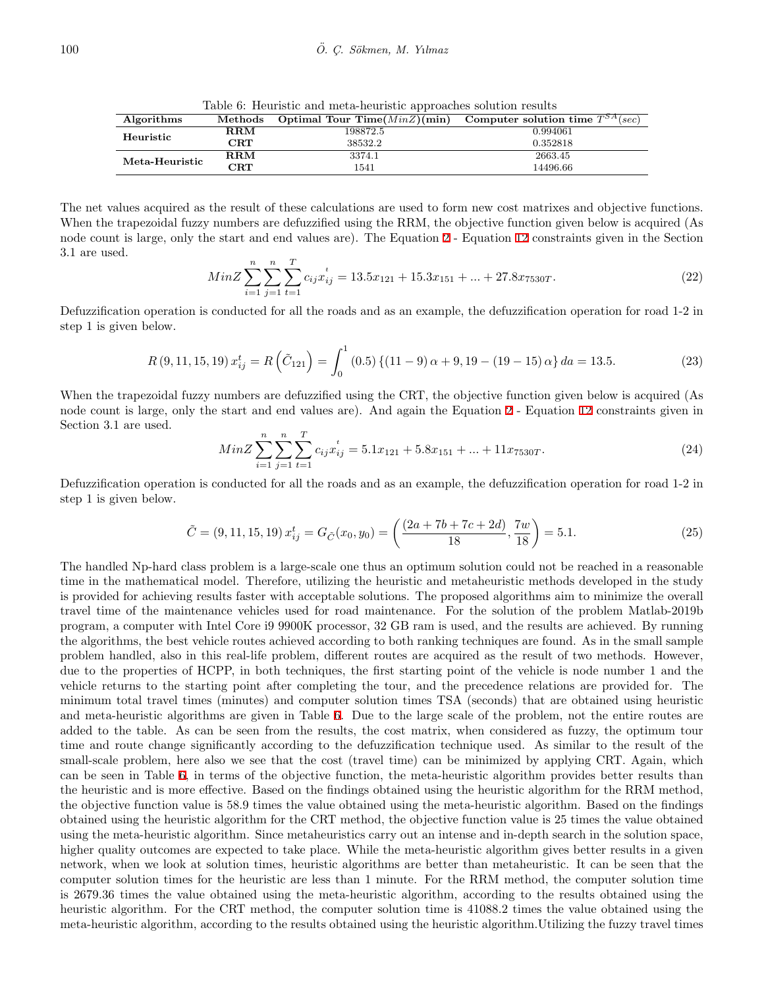<span id="page-13-0"></span>Table 6: Heuristic and meta-heuristic approaches solution results

| Algorithms     | $\bf Methods$  | Optimal Tour Time( $MinZ$ )(min) | Computer solution time $T^{SA}(sec)$ |
|----------------|----------------|----------------------------------|--------------------------------------|
| Heuristic      | $\mathbf{RRM}$ | 198872.5                         | 0.994061                             |
|                | $\rm CRT$      | 38532.2                          | 0.352818                             |
| Meta-Heuristic | $\mathbf{RRM}$ | 3374.1                           | 2663.45                              |
|                | $\rm CRT$      | 1541                             | 14496.66                             |

The net values acquired as the result of these calculations are used to form new cost matrixes and objective functions. When the trapezoidal fuzzy numbers are defuzzified using the RRM, the objective function given below is acquired (As node count is large, only the start and end values are). The Equation [2](#page-5-1) - Equation [12](#page-5-10) constraints given in the Section 3.1 are used.

$$
MinZ \sum_{i=1}^{n} \sum_{j=1}^{n} \sum_{t=1}^{T} c_{ij} x_{ij}^{t} = 13.5x_{121} + 15.3x_{151} + \dots + 27.8x_{7530T}.
$$
\n
$$
(22)
$$

Defuzzification operation is conducted for all the roads and as an example, the defuzzification operation for road 1-2 in step 1 is given below.

$$
R(9, 11, 15, 19) x_{ij}^t = R\left(\tilde{C}_{121}\right) = \int_0^1 (0.5) \left\{ (11 - 9)\alpha + 9, 19 - (19 - 15)\alpha \right\} da = 13.5. \tag{23}
$$

When the trapezoidal fuzzy numbers are defuzzified using the CRT, the objective function given below is acquired (As node count is large, only the start and end values are). And again the Equation [2](#page-5-1) - Equation [12](#page-5-10) constraints given in Section 3.1 are used.

$$
MinZ \sum_{i=1}^{n} \sum_{j=1}^{n} \sum_{t=1}^{T} c_{ij} x_{ij}^{t} = 5.1x_{121} + 5.8x_{151} + \dots + 11x_{7530T}.
$$
\n(24)

Defuzzification operation is conducted for all the roads and as an example, the defuzzification operation for road 1-2 in step 1 is given below.

$$
\tilde{C} = (9, 11, 15, 19) x_{ij}^t = G_{\tilde{C}}(x_0, y_0) = \left(\frac{(2a + 7b + 7c + 2d)}{18}, \frac{7w}{18}\right) = 5.1.
$$
\n(25)

The handled Np-hard class problem is a large-scale one thus an optimum solution could not be reached in a reasonable time in the mathematical model. Therefore, utilizing the heuristic and metaheuristic methods developed in the study is provided for achieving results faster with acceptable solutions. The proposed algorithms aim to minimize the overall travel time of the maintenance vehicles used for road maintenance. For the solution of the problem Matlab-2019b program, a computer with Intel Core i9 9900K processor, 32 GB ram is used, and the results are achieved. By running the algorithms, the best vehicle routes achieved according to both ranking techniques are found. As in the small sample problem handled, also in this real-life problem, different routes are acquired as the result of two methods. However, due to the properties of HCPP, in both techniques, the first starting point of the vehicle is node number 1 and the vehicle returns to the starting point after completing the tour, and the precedence relations are provided for. The minimum total travel times (minutes) and computer solution times TSA (seconds) that are obtained using heuristic and meta-heuristic algorithms are given in Table [6](#page-13-0). Due to the large scale of the problem, not the entire routes are added to the table. As can be seen from the results, the cost matrix, when considered as fuzzy, the optimum tour time and route change significantly according to the defuzzification technique used. As similar to the result of the small-scale problem, here also we see that the cost (travel time) can be minimized by applying CRT. Again, which can be seen in Table [6,](#page-13-0) in terms of the objective function, the meta-heuristic algorithm provides better results than the heuristic and is more effective. Based on the findings obtained using the heuristic algorithm for the RRM method, the objective function value is 58.9 times the value obtained using the meta-heuristic algorithm. Based on the findings obtained using the heuristic algorithm for the CRT method, the objective function value is 25 times the value obtained using the meta-heuristic algorithm. Since metaheuristics carry out an intense and in-depth search in the solution space, higher quality outcomes are expected to take place. While the meta-heuristic algorithm gives better results in a given network, when we look at solution times, heuristic algorithms are better than metaheuristic. It can be seen that the computer solution times for the heuristic are less than 1 minute. For the RRM method, the computer solution time is 2679.36 times the value obtained using the meta-heuristic algorithm, according to the results obtained using the heuristic algorithm. For the CRT method, the computer solution time is 41088.2 times the value obtained using the meta-heuristic algorithm, according to the results obtained using the heuristic algorithm.Utilizing the fuzzy travel times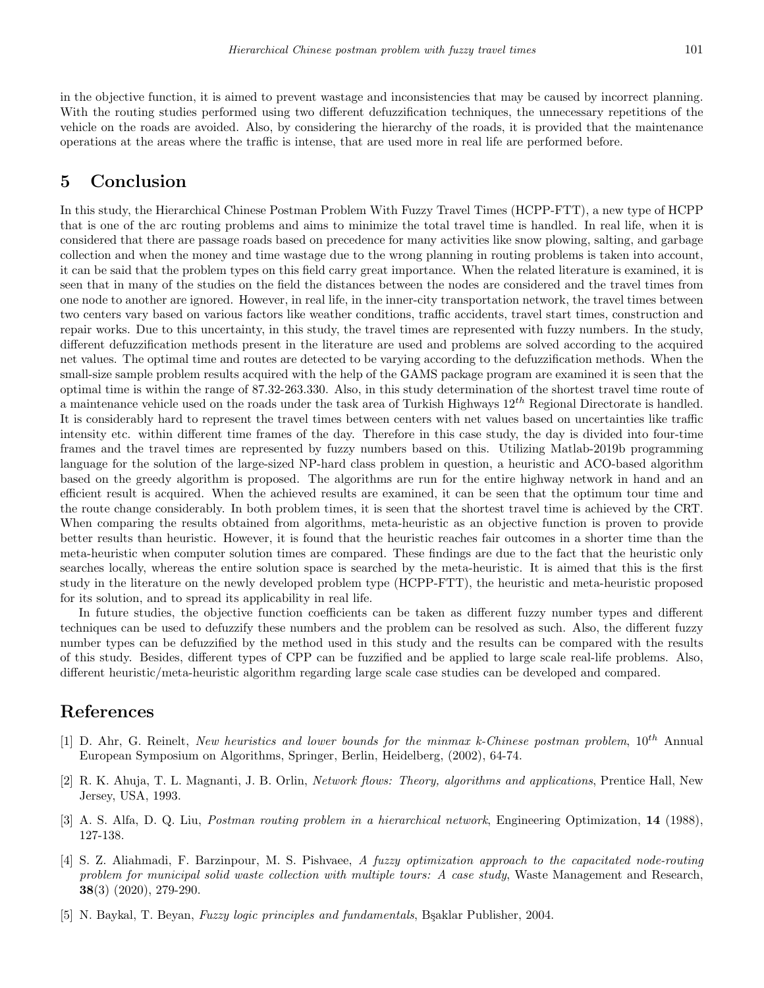in the objective function, it is aimed to prevent wastage and inconsistencies that may be caused by incorrect planning. With the routing studies performed using two different defuzzification techniques, the unnecessary repetitions of the vehicle on the roads are avoided. Also, by considering the hierarchy of the roads, it is provided that the maintenance operations at the areas where the traffic is intense, that are used more in real life are performed before.

# **5 Conclusion**

In this study, the Hierarchical Chinese Postman Problem With Fuzzy Travel Times (HCPP-FTT), a new type of HCPP that is one of the arc routing problems and aims to minimize the total travel time is handled. In real life, when it is considered that there are passage roads based on precedence for many activities like snow plowing, salting, and garbage collection and when the money and time wastage due to the wrong planning in routing problems is taken into account, it can be said that the problem types on this field carry great importance. When the related literature is examined, it is seen that in many of the studies on the field the distances between the nodes are considered and the travel times from one node to another are ignored. However, in real life, in the inner-city transportation network, the travel times between two centers vary based on various factors like weather conditions, traffic accidents, travel start times, construction and repair works. Due to this uncertainty, in this study, the travel times are represented with fuzzy numbers. In the study, different defuzzification methods present in the literature are used and problems are solved according to the acquired net values. The optimal time and routes are detected to be varying according to the defuzzification methods. When the small-size sample problem results acquired with the help of the GAMS package program are examined it is seen that the optimal time is within the range of 87.32-263.330. Also, in this study determination of the shortest travel time route of a maintenance vehicle used on the roads under the task area of Turkish Highways 12*th* Regional Directorate is handled. It is considerably hard to represent the travel times between centers with net values based on uncertainties like traffic intensity etc. within different time frames of the day. Therefore in this case study, the day is divided into four-time frames and the travel times are represented by fuzzy numbers based on this. Utilizing Matlab-2019b programming language for the solution of the large-sized NP-hard class problem in question, a heuristic and ACO-based algorithm based on the greedy algorithm is proposed. The algorithms are run for the entire highway network in hand and an efficient result is acquired. When the achieved results are examined, it can be seen that the optimum tour time and the route change considerably. In both problem times, it is seen that the shortest travel time is achieved by the CRT. When comparing the results obtained from algorithms, meta-heuristic as an objective function is proven to provide better results than heuristic. However, it is found that the heuristic reaches fair outcomes in a shorter time than the meta-heuristic when computer solution times are compared. These findings are due to the fact that the heuristic only searches locally, whereas the entire solution space is searched by the meta-heuristic. It is aimed that this is the first study in the literature on the newly developed problem type (HCPP-FTT), the heuristic and meta-heuristic proposed for its solution, and to spread its applicability in real life.

In future studies, the objective function coefficients can be taken as different fuzzy number types and different techniques can be used to defuzzify these numbers and the problem can be resolved as such. Also, the different fuzzy number types can be defuzzified by the method used in this study and the results can be compared with the results of this study. Besides, different types of CPP can be fuzzified and be applied to large scale real-life problems. Also, different heuristic/meta-heuristic algorithm regarding large scale case studies can be developed and compared.

# **References**

- <span id="page-14-2"></span>[1] D. Ahr, G. Reinelt, *New heuristics and lower bounds for the minmax k-Chinese postman problem*, 10*th* Annual European Symposium on Algorithms, Springer, Berlin, Heidelberg, (2002), 64-74.
- <span id="page-14-0"></span>[2] R. K. Ahuja, T. L. Magnanti, J. B. Orlin, *Network flows: Theory, algorithms and applications*, Prentice Hall, New Jersey, USA, 1993.
- <span id="page-14-3"></span>[3] A. S. Alfa, D. Q. Liu, *Postman routing problem in a hierarchical network*, Engineering Optimization, **14** (1988), 127-138.
- <span id="page-14-4"></span>[4] S. Z. Aliahmadi, F. Barzinpour, M. S. Pishvaee, *A fuzzy optimization approach to the capacitated node-routing problem for municipal solid waste collection with multiple tours: A case study*, Waste Management and Research, **38**(3) (2020), 279-290.
- <span id="page-14-1"></span>[5] N. Baykal, T. Beyan, *Fuzzy logic principles and fundamentals*, Bsaklar Publisher, 2004.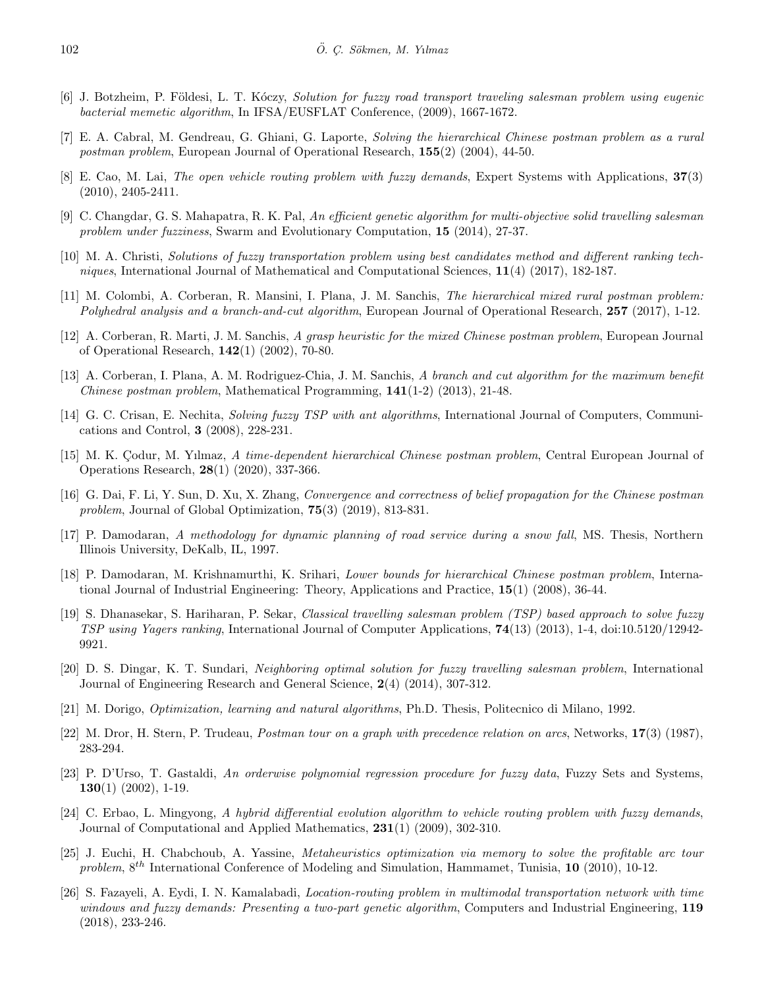- <span id="page-15-12"></span>[6] J. Botzheim, P. F¨oldesi, L. T. K´oczy, *Solution for fuzzy road transport traveling salesman problem using eugenic bacterial memetic algorithm*, In IFSA/EUSFLAT Conference, (2009), 1667-1672.
- <span id="page-15-7"></span>[7] E. A. Cabral, M. Gendreau, G. Ghiani, G. Laporte, *Solving the hierarchical Chinese postman problem as a rural postman problem*, European Journal of Operational Research, **155**(2) (2004), 44-50.
- <span id="page-15-14"></span>[8] E. Cao, M. Lai, *The open vehicle routing problem with fuzzy demands*, Expert Systems with Applications, **37**(3) (2010), 2405-2411.
- <span id="page-15-16"></span>[9] C. Changdar, G. S. Mahapatra, R. K. Pal, *An efficient genetic algorithm for multi-objective solid travelling salesman problem under fuzziness*, Swarm and Evolutionary Computation, **15** (2014), 27-37.
- <span id="page-15-19"></span>[10] M. A. Christi, *Solutions of fuzzy transportation problem using best candidates method and different ranking techniques*, International Journal of Mathematical and Computational Sciences, **11**(4) (2017), 182-187.
- <span id="page-15-9"></span>[11] M. Colombi, A. Corberan, R. Mansini, I. Plana, J. M. Sanchis, *The hierarchical mixed rural postman problem: Polyhedral analysis and a branch-and-cut algorithm*, European Journal of Operational Research, **257** (2017), 1-12.
- <span id="page-15-0"></span>[12] A. Corberan, R. Marti, J. M. Sanchis, *A grasp heuristic for the mixed Chinese postman problem*, European Journal of Operational Research, **142**(1) (2002), 70-80.
- <span id="page-15-2"></span>[13] A. Corberan, I. Plana, A. M. Rodriguez-Chia, J. M. Sanchis, *A branch and cut algorithm for the maximum benefit Chinese postman problem*, Mathematical Programming, **141**(1-2) (2013), 21-48.
- <span id="page-15-11"></span>[14] G. C. Crisan, E. Nechita, *Solving fuzzy TSP with ant algorithms*, International Journal of Computers, Communications and Control, **3** (2008), 228-231.
- <span id="page-15-10"></span>[15] M. K. Codur, M. Yılmaz, *A time-dependent hierarchical Chinese postman problem*, Central European Journal of Operations Research, **28**(1) (2020), 337-366.
- <span id="page-15-3"></span>[16] G. Dai, F. Li, Y. Sun, D. Xu, X. Zhang, *Convergence and correctness of belief propagation for the Chinese postman problem*, Journal of Global Optimization, **75**(3) (2019), 813-831.
- <span id="page-15-6"></span>[17] P. Damodaran, *A methodology for dynamic planning of road service during a snow fall*, MS. Thesis, Northern Illinois University, DeKalb, IL, 1997.
- <span id="page-15-8"></span>[18] P. Damodaran, M. Krishnamurthi, K. Srihari, *Lower bounds for hierarchical Chinese postman problem*, International Journal of Industrial Engineering: Theory, Applications and Practice, **15**(1) (2008), 36-44.
- <span id="page-15-15"></span>[19] S. Dhanasekar, S. Hariharan, P. Sekar, *Classical travelling salesman problem (TSP) based approach to solve fuzzy TSP using Yagers ranking*, International Journal of Computer Applications, **74**(13) (2013), 1-4, doi:10.5120/12942- 9921.
- <span id="page-15-17"></span>[20] D. S. Dingar, K. T. Sundari, *Neighboring optimal solution for fuzzy travelling salesman problem*, International Journal of Engineering Research and General Science, **2**(4) (2014), 307-312.
- <span id="page-15-20"></span>[21] M. Dorigo, *Optimization, learning and natural algorithms*, Ph.D. Thesis, Politecnico di Milano, 1992.
- <span id="page-15-5"></span>[22] M. Dror, H. Stern, P. Trudeau, *Postman tour on a graph with precedence relation on arcs*, Networks, **17**(3) (1987), 283-294.
- <span id="page-15-1"></span>[23] P. D'Urso, T. Gastaldi, *An orderwise polynomial regression procedure for fuzzy data*, Fuzzy Sets and Systems, **130**(1) (2002), 1-19.
- <span id="page-15-13"></span>[24] C. Erbao, L. Mingyong, *A hybrid differential evolution algorithm to vehicle routing problem with fuzzy demands*, Journal of Computational and Applied Mathematics, **231**(1) (2009), 302-310.
- <span id="page-15-4"></span>[25] J. Euchi, H. Chabchoub, A. Yassine, *Metaheuristics optimization via memory to solve the profitable arc tour problem*, 8*th* International Conference of Modeling and Simulation, Hammamet, Tunisia, **10** (2010), 10-12.
- <span id="page-15-18"></span>[26] S. Fazayeli, A. Eydi, I. N. Kamalabadi, *Location-routing problem in multimodal transportation network with time windows and fuzzy demands: Presenting a two-part genetic algorithm*, Computers and Industrial Engineering, **119** (2018), 233-246.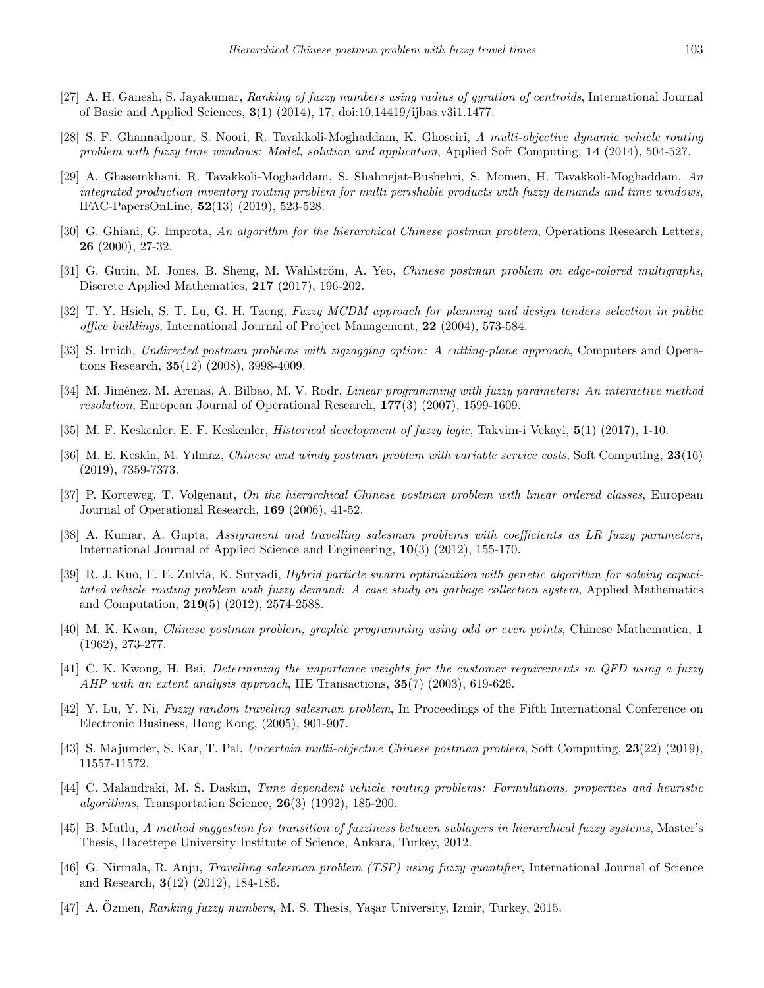- <span id="page-16-18"></span>[27] A. H. Ganesh, S. Jayakumar, *Ranking of fuzzy numbers using radius of gyration of centroids*, International Journal of Basic and Applied Sciences, **3**(1) (2014), 17, doi:10.14419/ijbas.v3i1.1477.
- <span id="page-16-13"></span>[28] S. F. Ghannadpour, S. Noori, R. Tavakkoli-Moghaddam, K. Ghoseiri, *A multi-objective dynamic vehicle routing problem with fuzzy time windows: Model, solution and application*, Applied Soft Computing, **14** (2014), 504-527.
- <span id="page-16-15"></span>[29] A. Ghasemkhani, R. Tavakkoli-Moghaddam, S. Shahnejat-Bushehri, S. Momen, H. Tavakkoli-Moghaddam, *An integrated production inventory routing problem for multi perishable products with fuzzy demands and time windows*, IFAC-PapersOnLine, **52**(13) (2019), 523-528.
- <span id="page-16-7"></span>[30] G. Ghiani, G. Improta, *An algorithm for the hierarchical Chinese postman problem*, Operations Research Letters, **26** (2000), 27-32.
- <span id="page-16-3"></span>[31] G. Gutin, M. Jones, B. Sheng, M. Wahlström, A. Yeo, *Chinese postman problem on edge-colored multigraphs*, Discrete Applied Mathematics, **217** (2017), 196-202.
- <span id="page-16-20"></span>[32] T. Y. Hsieh, S. T. Lu, G. H. Tzeng, *Fuzzy MCDM approach for planning and design tenders selection in public office buildings*, International Journal of Project Management, **22** (2004), 573-584.
- <span id="page-16-4"></span>[33] S. Irnich, *Undirected postman problems with zigzagging option: A cutting-plane approach*, Computers and Operations Research, **35**(12) (2008), 3998-4009.
- <span id="page-16-14"></span>[34] M. Jim´enez, M. Arenas, A. Bilbao, M. V. Rodr, *Linear programming with fuzzy parameters: An interactive method resolution*, European Journal of Operational Research, **177**(3) (2007), 1599-1609.
- <span id="page-16-1"></span>[35] M. F. Keskenler, E. F. Keskenler, *Historical development of fuzzy logic*, Takvim-i Vekayi, **5**(1) (2017), 1-10.
- <span id="page-16-16"></span>[36] M. E. Keskin, M. Yılmaz, *Chinese and windy postman problem with variable service costs*, Soft Computing, **23**(16) (2019), 7359-7373.
- <span id="page-16-8"></span>[37] P. Korteweg, T. Volgenant, *On the hierarchical Chinese postman problem with linear ordered classes*, European Journal of Operational Research, **169** (2006), 41-52.
- <span id="page-16-10"></span>[38] A. Kumar, A. Gupta, *Assignment and travelling salesman problems with coefficients as LR fuzzy parameters*, International Journal of Applied Science and Engineering, **10**(3) (2012), 155-170.
- <span id="page-16-11"></span>[39] R. J. Kuo, F. E. Zulvia, K. Suryadi, *Hybrid particle swarm optimization with genetic algorithm for solving capacitated vehicle routing problem with fuzzy demand: A case study on garbage collection system*, Applied Mathematics and Computation, **219**(5) (2012), 2574-2588.
- <span id="page-16-2"></span>[40] M. K. Kwan, *Chinese postman problem, graphic programming using odd or even points*, Chinese Mathematica, **1** (1962), 273-277.
- <span id="page-16-19"></span>[41] C. K. Kwong, H. Bai, *Determining the importance weights for the customer requirements in QFD using a fuzzy AHP with an extent analysis approach*, IIE Transactions, **35**(7) (2003), 619-626.
- <span id="page-16-9"></span>[42] Y. Lu, Y. Ni, *Fuzzy random traveling salesman problem*, In Proceedings of the Fifth International Conference on Electronic Business, Hong Kong, (2005), 901-907.
- <span id="page-16-6"></span>[43] S. Majumder, S. Kar, T. Pal, *Uncertain multi-objective Chinese postman problem*, Soft Computing, **23**(22) (2019), 11557-11572.
- <span id="page-16-5"></span>[44] C. Malandraki, M. S. Daskin, *Time dependent vehicle routing problems: Formulations, properties and heuristic algorithms*, Transportation Science, **26**(3) (1992), 185-200.
- <span id="page-16-17"></span>[45] B. Mutlu, *A method suggestion for transition of fuzziness between sublayers in hierarchical fuzzy systems*, Master's Thesis, Hacettepe University Institute of Science, Ankara, Turkey, 2012.
- <span id="page-16-12"></span>[46] G. Nirmala, R. Anju, *Travelling salesman problem (TSP) using fuzzy quantifier*, International Journal of Science and Research, **3**(12) (2012), 184-186.
- <span id="page-16-0"></span>[47] A. Ozmen, *Ranking fuzzy numbers*, M. S. Thesis, Yaşar University, Izmir, Turkey, 2015.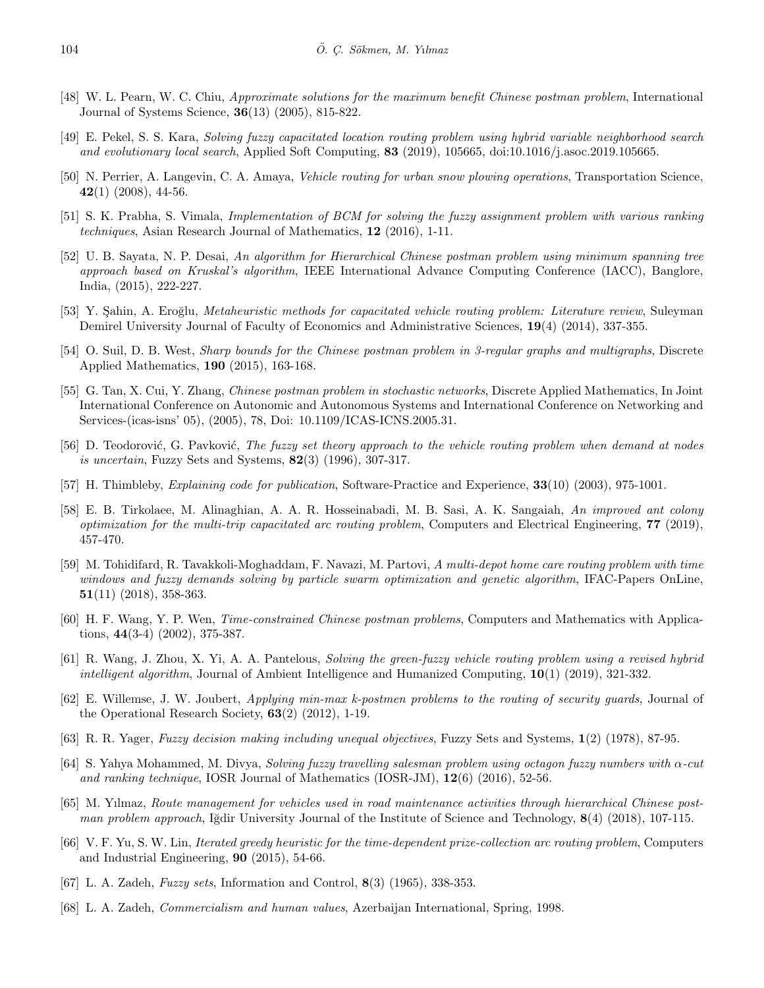- <span id="page-17-3"></span>[48] W. L. Pearn, W. C. Chiu, *Approximate solutions for the maximum benefit Chinese postman problem*, International Journal of Systems Science, **36**(13) (2005), 815-822.
- <span id="page-17-16"></span>[49] E. Pekel, S. S. Kara, *Solving fuzzy capacitated location routing problem using hybrid variable neighborhood search and evolutionary local search*, Applied Soft Computing, **83** (2019), 105665, doi:10.1016/j.asoc.2019.105665.
- <span id="page-17-9"></span>[50] N. Perrier, A. Langevin, C. A. Amaya, *Vehicle routing for urban snow plowing operations*, Transportation Science, **42**(1) (2008), 44-56.
- <span id="page-17-19"></span>[51] S. K. Prabha, S. Vimala, *Implementation of BCM for solving the fuzzy assignment problem with various ranking techniques*, Asian Research Journal of Mathematics, **12** (2016), 1-11.
- <span id="page-17-10"></span>[52] U. B. Sayata, N. P. Desai, *An algorithm for Hierarchical Chinese postman problem using minimum spanning tree approach based on Kruskal's algorithm*, IEEE International Advance Computing Conference (IACC), Banglore, India, (2015), 222-227.
- <span id="page-17-20"></span>[53] Y. S¸ahin, A. Ero˘glu, *Metaheuristic methods for capacitated vehicle routing problem: Literature review*, Suleyman Demirel University Journal of Faculty of Economics and Administrative Sciences, **19**(4) (2014), 337-355.
- <span id="page-17-4"></span>[54] O. Suil, D. B. West, *Sharp bounds for the Chinese postman problem in 3-regular graphs and multigraphs*, Discrete Applied Mathematics, **190** (2015), 163-168.
- <span id="page-17-8"></span>[55] G. Tan, X. Cui, Y. Zhang, *Chinese postman problem in stochastic networks*, Discrete Applied Mathematics, In Joint International Conference on Autonomic and Autonomous Systems and International Conference on Networking and Services-(icas-isns' 05), (2005), 78, Doi: 10.1109/ICAS-ICNS.2005.31.
- <span id="page-17-12"></span>[56] D. Teodorović, G. Pavković, *The fuzzy set theory approach to the vehicle routing problem when demand at nodes is uncertain*, Fuzzy Sets and Systems, **82**(3) (1996), 307-317.
- <span id="page-17-0"></span>[57] H. Thimbleby, *Explaining code for publication*, Software-Practice and Experience, **33**(10) (2003), 975-1001.
- <span id="page-17-5"></span>[58] E. B. Tirkolaee, M. Alinaghian, A. A. R. Hosseinabadi, M. B. Sasi, A. K. Sangaiah, *An improved ant colony optimization for the multi-trip capacitated arc routing problem*, Computers and Electrical Engineering, **77** (2019), 457-470.
- <span id="page-17-15"></span>[59] M. Tohidifard, R. Tavakkoli-Moghaddam, F. Navazi, M. Partovi, *A multi-depot home care routing problem with time windows and fuzzy demands solving by particle swarm optimization and genetic algorithm*, IFAC-Papers OnLine, **51**(11) (2018), 358-363.
- <span id="page-17-13"></span>[60] H. F. Wang, Y. P. Wen, *Time-constrained Chinese postman problems*, Computers and Mathematics with Applications, **44**(3-4) (2002), 375-387.
- <span id="page-17-17"></span>[61] R. Wang, J. Zhou, X. Yi, A. A. Pantelous, *Solving the green-fuzzy vehicle routing problem using a revised hybrid intelligent algorithm*, Journal of Ambient Intelligence and Humanized Computing, **10**(1) (2019), 321-332.
- <span id="page-17-6"></span>[62] E. Willemse, J. W. Joubert, *Applying min-max k-postmen problems to the routing of security guards*, Journal of the Operational Research Society, **63**(2) (2012), 1-19.
- <span id="page-17-18"></span>[63] R. R. Yager, *Fuzzy decision making including unequal objectives*, Fuzzy Sets and Systems, **1**(2) (1978), 87-95.
- <span id="page-17-14"></span>[64] S. Yahya Mohammed, M. Divya, *Solving fuzzy travelling salesman problem using octagon fuzzy numbers with α-cut and ranking technique*, IOSR Journal of Mathematics (IOSR-JM), **12**(6) (2016), 52-56.
- <span id="page-17-11"></span>[65] M. Yılmaz, *Route management for vehicles used in road maintenance activities through hierarchical Chinese postman problem approach*, Iğdir University Journal of the Institute of Science and Technology, **8**(4) (2018), 107-115.
- <span id="page-17-7"></span>[66] V. F. Yu, S. W. Lin, *Iterated greedy heuristic for the time-dependent prize-collection arc routing problem*, Computers and Industrial Engineering, **90** (2015), 54-66.
- <span id="page-17-1"></span>[67] L. A. Zadeh, *Fuzzy sets*, Information and Control, **8**(3) (1965), 338-353.
- <span id="page-17-2"></span>[68] L. A. Zadeh, *Commercialism and human values*, Azerbaijan International, Spring, 1998.